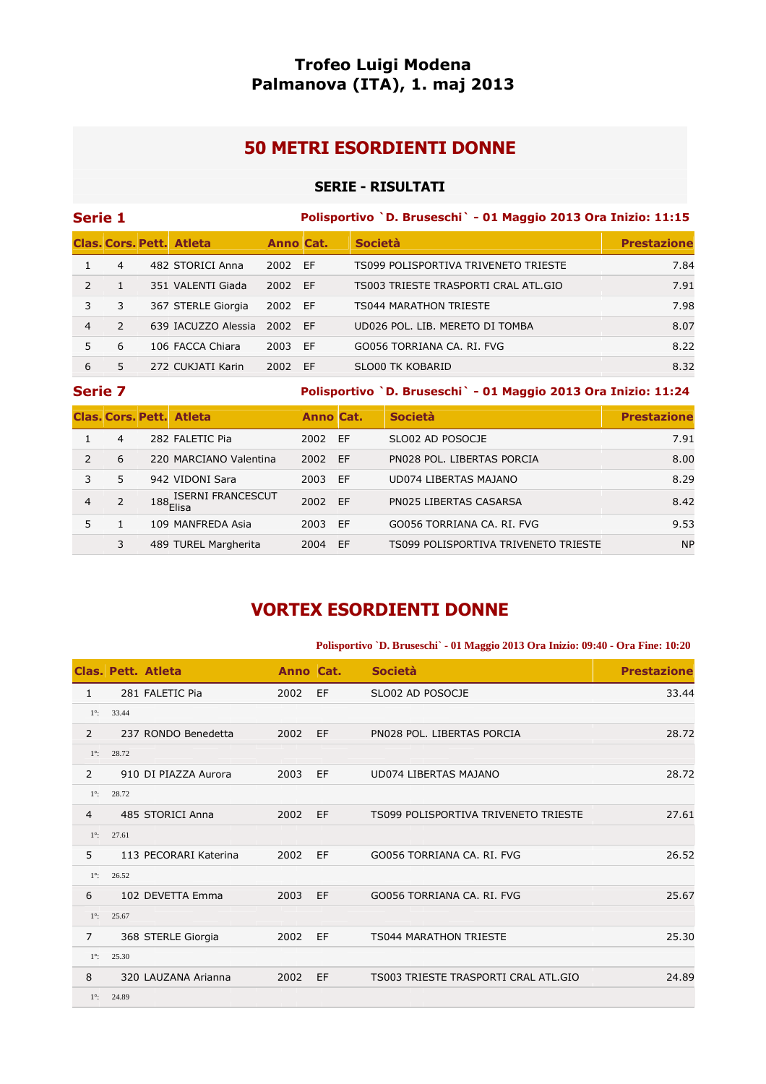# **Trofeo Luigi Modena Palmanova (ITA), 1. maj 2013**

# **50 METRI ESORDIENTI DONNE**

### **SERIE - RISULTATI**

| Serie 1       |               |  |                                 |                  |    | Polisportivo `D. Bruseschi` - 01 Maggio 2013 Ora Inizio: 11:15 |                    |  |  |  |
|---------------|---------------|--|---------------------------------|------------------|----|----------------------------------------------------------------|--------------------|--|--|--|
|               |               |  | <b>Clas, Cors, Pett. Atleta</b> | <b>Anno Cat.</b> |    | <b>Società</b>                                                 | <b>Prestazione</b> |  |  |  |
|               | 4             |  | 482 STORICI Anna                | 2002 EF          |    | TS099 POLISPORTIVA TRIVENETO TRIESTE                           | 7.84               |  |  |  |
| $\mathcal{P}$ |               |  | 351 VALENTI Giada               | 2002 EF          |    | TS003 TRIESTE TRASPORTI CRAL ATL.GIO                           | 7.91               |  |  |  |
| 3             | 3             |  | 367 STERLE Giorgia              | 2002 EF          |    | <b>TS044 MARATHON TRIESTE</b>                                  | 7.98               |  |  |  |
| 4             | $\mathcal{P}$ |  | 639 IACUZZO Alessia             | 2002 EF          |    | UD026 POL. LIB. MERETO DI TOMBA                                | 8.07               |  |  |  |
| 5             | 6             |  | 106 FACCA Chiara                | 2003             | EF | GO056 TORRIANA CA. RI. FVG                                     | 8.22               |  |  |  |
| 6             | 5.            |  | 272 CUKJATI Karin               | 2002 EF          |    | SLO00 TK KOBARID                                               | 8.32               |  |  |  |
|               |               |  |                                 |                  |    |                                                                |                    |  |  |  |

**Serie 7 Polisportivo `D. Bruseschi` - 01 Maggio 2013 Ora Inizio: 11:24** 

|               |                | <b>Clas, Cors, Pett. Atleta</b>                        | <b>Anno Cat.</b> |           | <b>Società</b>                       | <b>Prestazione</b> |
|---------------|----------------|--------------------------------------------------------|------------------|-----------|--------------------------------------|--------------------|
|               | 4              | 282 FALETIC Pia                                        | 2002             | EF        | SLO02 AD POSOCJE                     | 7.91               |
| $\mathcal{P}$ | 6              | 220 MARCIANO Valentina                                 | 2002             | <b>FF</b> | PN028 POL. LIBERTAS PORCIA           | 8.00               |
| 3             | 5.             | 942 VIDONI Sara                                        | 2003             | EF        | UD074 LIBERTAS MAJANO                | 8.29               |
| 4             | $\overline{2}$ | $188\frac{\textsf{ISERNI FRANCESCUT}}{\textsf{Elisa}}$ | 2002             | FF        | PN025 LIBERTAS CASARSA               | 8.42               |
|               |                | 109 MANFREDA Asia                                      | 2003             | FF        | GO056 TORRIANA CA. RI. FVG           | 9.53               |
|               | 3              | 489 TUREL Margherita                                   | 2004             | EF        | TS099 POLISPORTIVA TRIVENETO TRIESTE | <b>NP</b>          |

# **VORTEX ESORDIENTI DONNE**

#### **Polisportivo `D. Bruseschi` - 01 Maggio 2013 Ora Inizio: 09:40 - Ora Fine: 10:20**

|                |       | <b>Clas. Pett. Atleta</b> | Anno Cat. |    | <b>Società</b>                       | <b>Prestazione</b> |
|----------------|-------|---------------------------|-----------|----|--------------------------------------|--------------------|
| 1              |       | 281 FALETIC Pia           | 2002      | EF | SLO02 AD POSOCJE                     | 33.44              |
| $1^\circ$ :    | 33.44 |                           |           |    |                                      |                    |
| $\overline{2}$ |       | 237 RONDO Benedetta       | 2002      | EF | PN028 POL. LIBERTAS PORCIA           | 28.72              |
| $1^\circ$ :    | 28.72 |                           |           |    |                                      |                    |
| $\overline{2}$ |       | 910 DI PIAZZA Aurora      | 2003      | EF | UD074 LIBERTAS MAJANO                | 28.72              |
| $1^\circ$ :    | 28.72 |                           |           |    |                                      |                    |
| $\overline{4}$ |       | 485 STORICI Anna          | 2002      | EF | TS099 POLISPORTIVA TRIVENETO TRIESTE | 27.61              |
| $1^\circ$ :    | 27.61 |                           |           |    |                                      |                    |
| 5              |       | 113 PECORARI Katerina     | 2002      | EF | GO056 TORRIANA CA. RI. FVG           | 26.52              |
| $1^\circ$ :    | 26.52 |                           |           |    |                                      |                    |
| 6              |       | 102 DEVETTA Emma          | 2003      | EF | GO056 TORRIANA CA. RI. FVG           | 25.67              |
| $1^\circ$ :    | 25.67 |                           |           |    |                                      |                    |
| $\overline{7}$ |       | 368 STERLE Giorgia        | 2002      | EF | <b>TS044 MARATHON TRIESTE</b>        | 25.30              |
| $1^\circ$ :    | 25.30 |                           |           |    |                                      |                    |
| 8              |       | 320 LAUZANA Arianna       | 2002      | EF | TS003 TRIESTE TRASPORTI CRAL ATL.GIO | 24.89              |
| $1^\circ$ :    | 24.89 |                           |           |    |                                      |                    |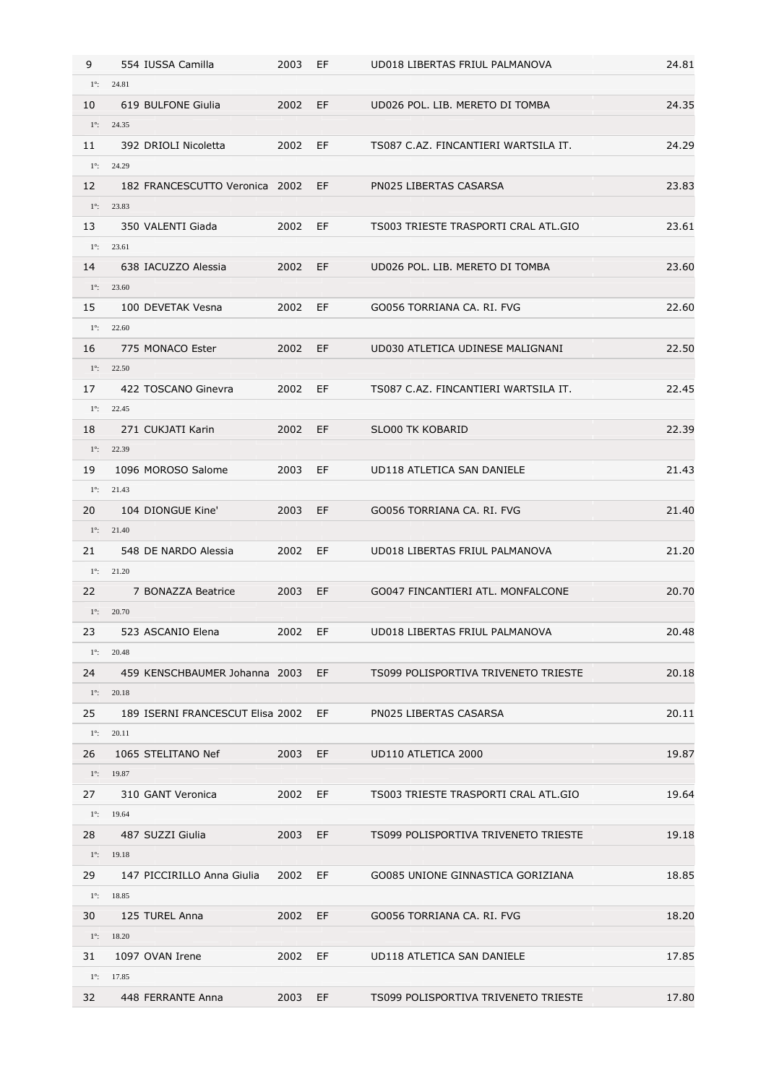| 9           | 554 IUSSA Camilla                | 2003 | EF     | UD018 LIBERTAS FRIUL PALMANOVA       | 24.81 |
|-------------|----------------------------------|------|--------|--------------------------------------|-------|
| $1^\circ$ : | 24.81                            |      |        |                                      |       |
| 10          | 619 BULFONE Giulia               | 2002 | EF     | UD026 POL. LIB. MERETO DI TOMBA      | 24.35 |
|             | $1^{\circ}$ : 24.35              |      |        |                                      |       |
| 11          | 392 DRIOLI Nicoletta             | 2002 | EF     | TS087 C.AZ. FINCANTIERI WARTSILA IT. | 24.29 |
| $1^\circ$ : | 24.29                            |      |        |                                      |       |
| 12          | 182 FRANCESCUTTO Veronica 2002   |      | EF     | PN025 LIBERTAS CASARSA               | 23.83 |
|             | $1^{\circ}$ : 23.83              |      |        |                                      |       |
| 13          | 350 VALENTI Giada                | 2002 | EF     | TS003 TRIESTE TRASPORTI CRAL ATL.GIO | 23.61 |
| $1^\circ$ : | 23.61                            |      |        |                                      |       |
| 14          | 638 IACUZZO Alessia              | 2002 | EF     | UD026 POL. LIB. MERETO DI TOMBA      | 23.60 |
|             | $1^{\circ}$ : 23.60              |      |        |                                      |       |
| 15          | 100 DEVETAK Vesna                | 2002 | EF     | GO056 TORRIANA CA. RI. FVG           | 22.60 |
|             | $1^{\circ}$ : 22.60              |      |        |                                      |       |
| 16          | 775 MONACO Ester                 | 2002 | EF     | UD030 ATLETICA UDINESE MALIGNANI     | 22.50 |
| $1^\circ$ : | 22.50                            |      |        |                                      |       |
| 17          | 422 TOSCANO Ginevra              | 2002 | EF     | TS087 C.AZ. FINCANTIERI WARTSILA IT. | 22.45 |
| $1^\circ$ : | 22.45                            |      |        |                                      |       |
| 18          | 271 CUKJATI Karin                | 2002 | EF.    | <b>SLO00 TK KOBARID</b>              | 22.39 |
| $1^\circ$ : | 22.39                            |      |        |                                      |       |
| 19          | 1096 MOROSO Salome               | 2003 | EF     | UD118 ATLETICA SAN DANIELE           | 21.43 |
| $1^\circ$ : | 21.43                            |      |        |                                      |       |
| 20          | 104 DIONGUE Kine'                | 2003 | EF     | GO056 TORRIANA CA. RI. FVG           | 21.40 |
|             | $1^{\circ}$ : 21.40              |      |        |                                      |       |
| 21          | 548 DE NARDO Alessia             | 2002 | EF     | UD018 LIBERTAS FRIUL PALMANOVA       | 21.20 |
| $1^\circ$ : | 21.20                            |      |        |                                      |       |
| 22          | 7 BONAZZA Beatrice               | 2003 | EF.    | GO047 FINCANTIERI ATL. MONFALCONE    | 20.70 |
| $1^\circ$ : | 20.70                            |      |        |                                      |       |
| 23          | 523 ASCANIO Elena                | 2002 | EF.    | UD018 LIBERTAS FRIUL PALMANOVA       | 20.48 |
|             | $1^{\circ}$ : 20.48              |      |        |                                      |       |
| 24          | 459 KENSCHBAUMER Johanna 2003    |      | EF the | TS099 POLISPORTIVA TRIVENETO TRIESTE | 20.18 |
| $1^\circ$ : | 20.18                            |      |        |                                      |       |
| 25          | 189 ISERNI FRANCESCUT Elisa 2002 |      | EF     | PN025 LIBERTAS CASARSA               | 20.11 |
| $1^\circ$ : | 20.11                            |      |        |                                      |       |
| 26          | 1065 STELITANO Nef               | 2003 | EF.    | UD110 ATLETICA 2000                  | 19.87 |
|             | $1^{\circ}$ : 19.87              |      |        |                                      |       |
| 27          | 310 GANT Veronica                | 2002 | EF     | TS003 TRIESTE TRASPORTI CRAL ATL.GIO | 19.64 |
|             | $1^{\circ}$ : 19.64              |      |        |                                      |       |
| 28          | 487 SUZZI Giulia                 | 2003 | EF.    | TS099 POLISPORTIVA TRIVENETO TRIESTE | 19.18 |
|             | $1^{\circ}$ : 19.18              |      |        |                                      |       |
| 29          | 147 PICCIRILLO Anna Giulia       | 2002 | EF     | GO085 UNIONE GINNASTICA GORIZIANA    | 18.85 |
|             | $1^{\circ}$ : 18.85              |      |        |                                      |       |
| 30          | 125 TUREL Anna                   | 2002 | EF     | GO056 TORRIANA CA. RI. FVG           | 18.20 |
|             | $1^{\circ}$ : 18.20              |      |        |                                      |       |
| 31          | 1097 OVAN Irene                  | 2002 | EF     | UD118 ATLETICA SAN DANIELE           | 17.85 |
| $1^\circ$ : | 17.85                            |      |        |                                      |       |
| 32          | 448 FERRANTE Anna                | 2003 | EF     | TS099 POLISPORTIVA TRIVENETO TRIESTE | 17.80 |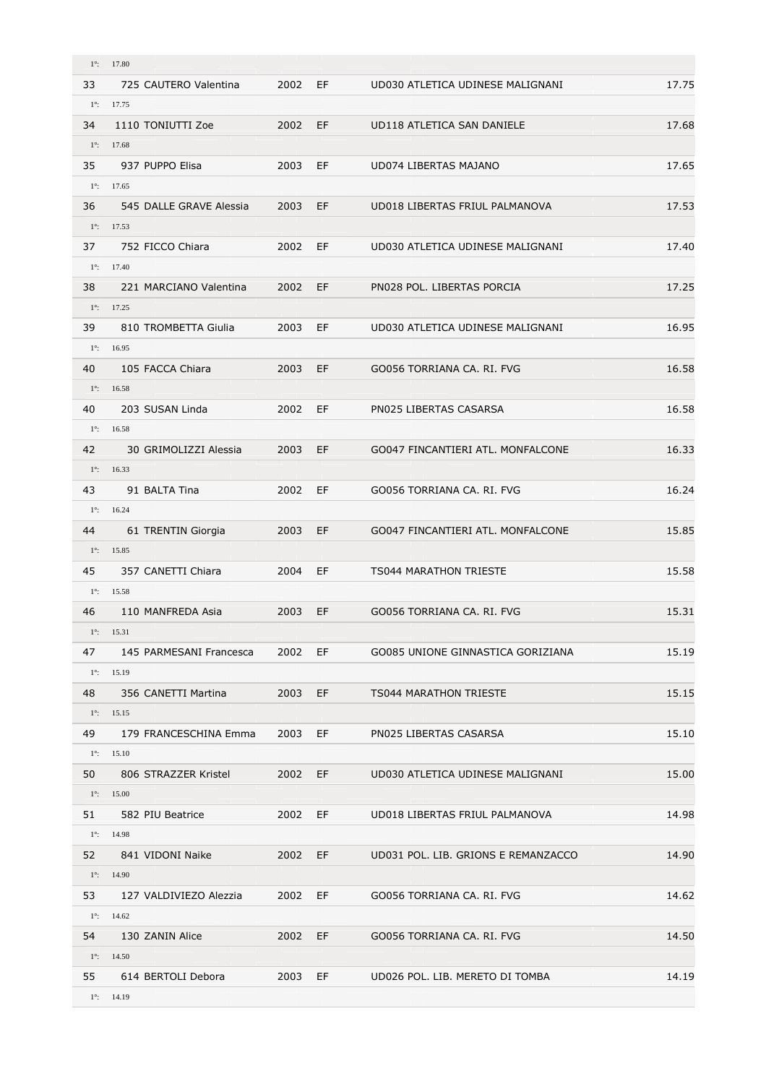| $1^\circ$ : | 17.80                                         |      |     |                                     |       |
|-------------|-----------------------------------------------|------|-----|-------------------------------------|-------|
| 33          | 725 CAUTERO Valentina                         | 2002 | EF  | UD030 ATLETICA UDINESE MALIGNANI    | 17.75 |
|             | $1^{\circ}$ : 17.75                           |      |     |                                     |       |
| 34          | 1110 TONIUTTI Zoe                             | 2002 | EF  | UD118 ATLETICA SAN DANIELE          | 17.68 |
| $1^\circ$ : | 17.68                                         |      |     |                                     |       |
| 35          | 937 PUPPO Elisa                               | 2003 | EF  | UD074 LIBERTAS MAJANO               | 17.65 |
|             | $1^{\circ}$ : 17.65                           |      |     |                                     |       |
| 36          | 545 DALLE GRAVE Alessia                       | 2003 | EF. | UD018 LIBERTAS FRIUL PALMANOVA      | 17.53 |
|             | $1^{\circ}$ : 17.53                           |      |     |                                     |       |
| 37          | 752 FICCO Chiara                              | 2002 | EF  | UD030 ATLETICA UDINESE MALIGNANI    | 17.40 |
|             | $1^{\circ}$ : 17.40                           |      |     |                                     |       |
| 38          | 221 MARCIANO Valentina                        | 2002 | EF  | PN028 POL. LIBERTAS PORCIA          | 17.25 |
|             | $1^{\circ}$ : 17.25                           |      |     |                                     |       |
| 39          | 810 TROMBETTA Giulia                          | 2003 | EF  | UD030 ATLETICA UDINESE MALIGNANI    | 16.95 |
|             | $1^{\circ}$ : 16.95                           |      |     |                                     |       |
| 40          | 105 FACCA Chiara                              | 2003 | EF  | GO056 TORRIANA CA. RI. FVG          | 16.58 |
| $1^\circ$ : | 16.58                                         |      |     |                                     |       |
| 40          | 203 SUSAN Linda                               | 2002 | EF  | PN025 LIBERTAS CASARSA              | 16.58 |
|             | $1^{\circ}$ : 16.58                           |      |     |                                     |       |
| 42          | 30 GRIMOLIZZI Alessia                         | 2003 | EF. | GO047 FINCANTIERI ATL. MONFALCONE   | 16.33 |
| $1^\circ$ : | 16.33                                         |      |     |                                     |       |
| 43          | 91 BALTA Tina                                 | 2002 | EF  | GO056 TORRIANA CA. RI. FVG          | 16.24 |
| $1^\circ$ : | 16.24                                         |      |     |                                     |       |
| 44          | 61 TRENTIN Giorgia                            | 2003 | EF  | GO047 FINCANTIERI ATL. MONFALCONE   | 15.85 |
| $1^\circ$ : | 15.85                                         |      |     |                                     |       |
| 45          | 357 CANETTI Chiara                            | 2004 | EF  | <b>TS044 MARATHON TRIESTE</b>       | 15.58 |
|             | $1^{\circ}$ : 15.58                           |      |     |                                     |       |
| 46          | 110 MANFREDA Asia                             | 2003 | EF  | GO056 TORRIANA CA. RI. FVG          | 15.31 |
|             | $1^{\circ}$ : 15.31                           |      |     |                                     |       |
| 47          | 145 PARMESANI Francesca                       | 2002 | EF  | GO085 UNIONE GINNASTICA GORIZIANA   | 15.19 |
|             | $1^{\circ}$ : 15.19                           |      |     |                                     |       |
| 48          | 356 CANETTI Martina                           | 2003 | EF  | <b>TS044 MARATHON TRIESTE</b>       | 15.15 |
| $1^\circ$ : | 15.15                                         |      |     |                                     |       |
| 49          | 179 FRANCESCHINA Emma                         | 2003 | EF  | PN025 LIBERTAS CASARSA              | 15.10 |
|             | $1^{\circ}$ : 15.10                           |      |     |                                     |       |
| 50          | 806 STRAZZER Kristel                          | 2002 | EF. | UD030 ATLETICA UDINESE MALIGNANI    | 15.00 |
|             | $1^{\circ}$ : 15.00                           |      |     |                                     |       |
| 51          | 582 PIU Beatrice                              | 2002 | EF  | UD018 LIBERTAS FRIUL PALMANOVA      | 14.98 |
|             | $1^{\circ}$ : 14.98                           |      |     |                                     |       |
| 52          | 841 VIDONI Naike                              | 2002 | EF  | UD031 POL. LIB. GRIONS E REMANZACCO | 14.90 |
| $1^\circ$ : | 14.90                                         |      |     |                                     |       |
|             |                                               |      |     |                                     |       |
| 53          | 127 VALDIVIEZO Alezzia<br>$1^{\circ}$ : 14.62 | 2002 | EF. | GO056 TORRIANA CA. RI. FVG          | 14.62 |
|             | 130 ZANIN Alice                               |      |     |                                     |       |
| 54          | $1^{\circ}$ : 14.50                           | 2002 | EF. | GO056 TORRIANA CA. RI. FVG          | 14.50 |
|             |                                               |      |     |                                     |       |
| 55          | 614 BERTOLI Debora                            | 2003 | EF  | UD026 POL. LIB. MERETO DI TOMBA     | 14.19 |
| $1^\circ$ : | 14.19                                         |      |     |                                     |       |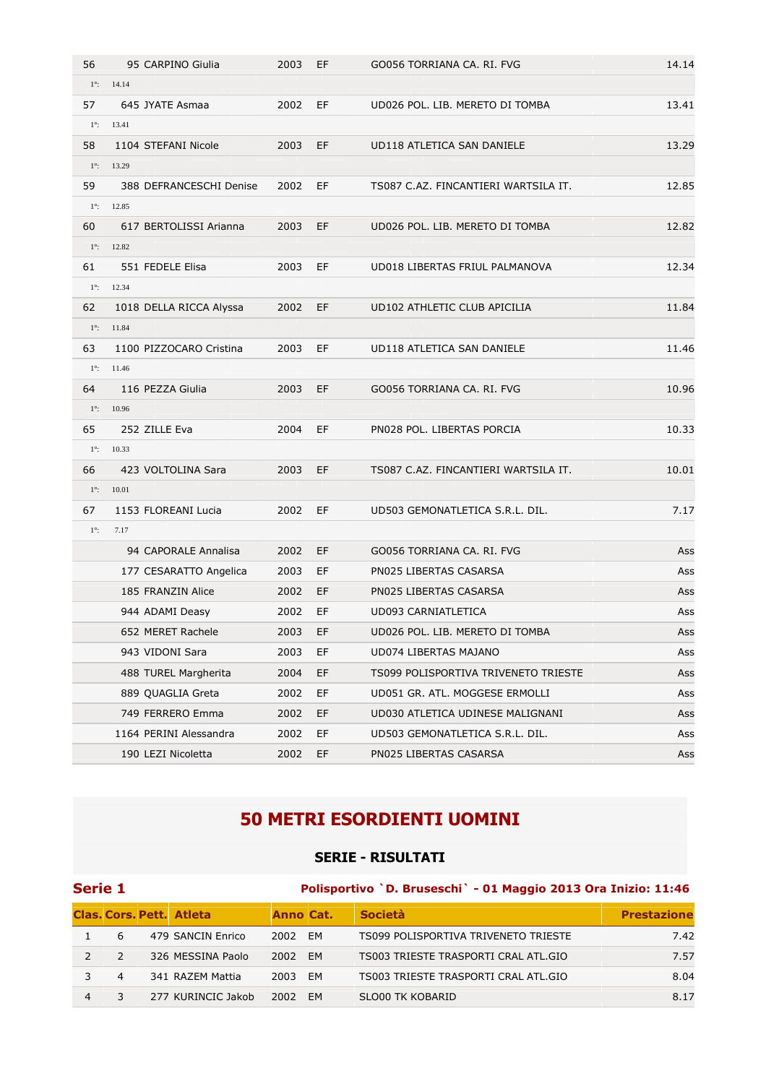| 56          | 95 CARPINO Giulia       | 2003 | EF  | GO056 TORRIANA CA. RI. FVG           | 14.14 |
|-------------|-------------------------|------|-----|--------------------------------------|-------|
| $1^\circ$ : | 14.14                   |      |     |                                      |       |
| 57          | 645 JYATE Asmaa         | 2002 | EF  | UD026 POL. LIB. MERETO DI TOMBA      | 13.41 |
| $1^\circ$ : | 13.41                   |      |     |                                      |       |
| 58          | 1104 STEFANI Nicole     | 2003 | EF  | UD118 ATLETICA SAN DANIELE           | 13.29 |
| $1^\circ$ : | 13.29                   |      |     |                                      |       |
| 59          | 388 DEFRANCESCHI Denise | 2002 | EF  | TS087 C.AZ. FINCANTIERI WARTSILA IT. | 12.85 |
| $1^\circ$ : | 12.85                   |      |     |                                      |       |
| 60          | 617 BERTOLISSI Arianna  | 2003 | EF  | UD026 POL. LIB. MERETO DI TOMBA      | 12.82 |
| $1^\circ$ : | 12.82                   |      |     |                                      |       |
| 61          | 551 FEDELE Elisa        | 2003 | EF  | UD018 LIBERTAS FRIUL PALMANOVA       | 12.34 |
| $1^\circ$ : | 12.34                   |      |     |                                      |       |
| 62          | 1018 DELLA RICCA Alyssa | 2002 | EF  | UD102 ATHLETIC CLUB APICILIA         | 11.84 |
| $1^\circ$ : | 11.84                   |      |     |                                      |       |
| 63          | 1100 PIZZOCARO Cristina | 2003 | EF  | UD118 ATLETICA SAN DANIELE           | 11.46 |
| $1^\circ$ : | 11.46                   |      |     |                                      |       |
| 64          | 116 PEZZA Giulia        | 2003 | EF  | GO056 TORRIANA CA. RI. FVG           | 10.96 |
| $1^\circ$ : | 10.96                   |      |     |                                      |       |
| 65          | 252 ZILLE Eva           | 2004 | EF  | PN028 POL. LIBERTAS PORCIA           | 10.33 |
| $1^\circ$ : | 10.33                   |      |     |                                      |       |
| 66          | 423 VOLTOLINA Sara      | 2003 | EF  | TS087 C.AZ. FINCANTIERI WARTSILA IT. | 10.01 |
| $1^\circ$ : | 10.01                   |      |     |                                      |       |
| 67          | 1153 FLOREANI Lucia     | 2002 | EF  | UD503 GEMONATLETICA S.R.L. DIL.      | 7.17  |
| $1^\circ$ : | 7.17                    |      |     |                                      |       |
|             | 94 CAPORALE Annalisa    | 2002 | EF  | GO056 TORRIANA CA. RI. FVG           | Ass   |
|             | 177 CESARATTO Angelica  | 2003 | EF  | PN025 LIBERTAS CASARSA               | Ass   |
|             | 185 FRANZIN Alice       | 2002 | EF  | PN025 LIBERTAS CASARSA               | Ass   |
|             | 944 ADAMI Deasy         | 2002 | EF  | UD093 CARNIATLETICA                  | Ass   |
|             | 652 MERET Rachele       | 2003 | EF. | UD026 POL. LIB. MERETO DI TOMBA      | Ass   |
|             | 943 VIDONI Sara         | 2003 | EF  | UD074 LIBERTAS MAJANO                | Ass   |
|             | 488 TUREL Margherita    | 2004 | EF. | TS099 POLISPORTIVA TRIVENETO TRIESTE | Ass   |
|             | 889 QUAGLIA Greta       | 2002 | EF. | UD051 GR. ATL. MOGGESE ERMOLLI       | Ass   |
|             | 749 FERRERO Emma        | 2002 | EF. | UD030 ATLETICA UDINESE MALIGNANI     | Ass   |
|             | 1164 PERINI Alessandra  | 2002 | EF. | UD503 GEMONATLETICA S.R.L. DIL.      | Ass   |
|             | 190 LEZI Nicoletta      | 2002 | EF. | PN025 LIBERTAS CASARSA               | Ass   |

# **50 METRI ESORDIENTI UOMINI**

### **SERIE - RISULTATI**

|                | Serie 1        |  |                                 |           | Polisportivo `D. Bruseschi` - 01 Maggio 2013 Ora Inizio: 11:46 |                                      |                    |  |  |  |
|----------------|----------------|--|---------------------------------|-----------|----------------------------------------------------------------|--------------------------------------|--------------------|--|--|--|
|                |                |  | <b>Clas, Cors, Pett. Atleta</b> | Anno Cat. |                                                                | <b>Società</b>                       | <b>Prestazione</b> |  |  |  |
|                | 6              |  | 479 SANCIN Enrico               | 2002      | EM                                                             | TS099 POLISPORTIVA TRIVENETO TRIESTE | 7.42               |  |  |  |
| $\mathcal{P}$  | $\overline{2}$ |  | 326 MESSINA Paolo               | 2002      | EM                                                             | TS003 TRIESTE TRASPORTI CRAL ATL.GIO | 7.57               |  |  |  |
|                | 4              |  | 341 RAZEM Mattia                | 2003      | EM                                                             | TS003 TRIESTE TRASPORTI CRAL ATL.GIO | 8.04               |  |  |  |
| $\overline{4}$ |                |  | 277 KURINCIC Jakob              | 2002      | <b>FM</b>                                                      | SLO00 TK KOBARID                     | 8.17               |  |  |  |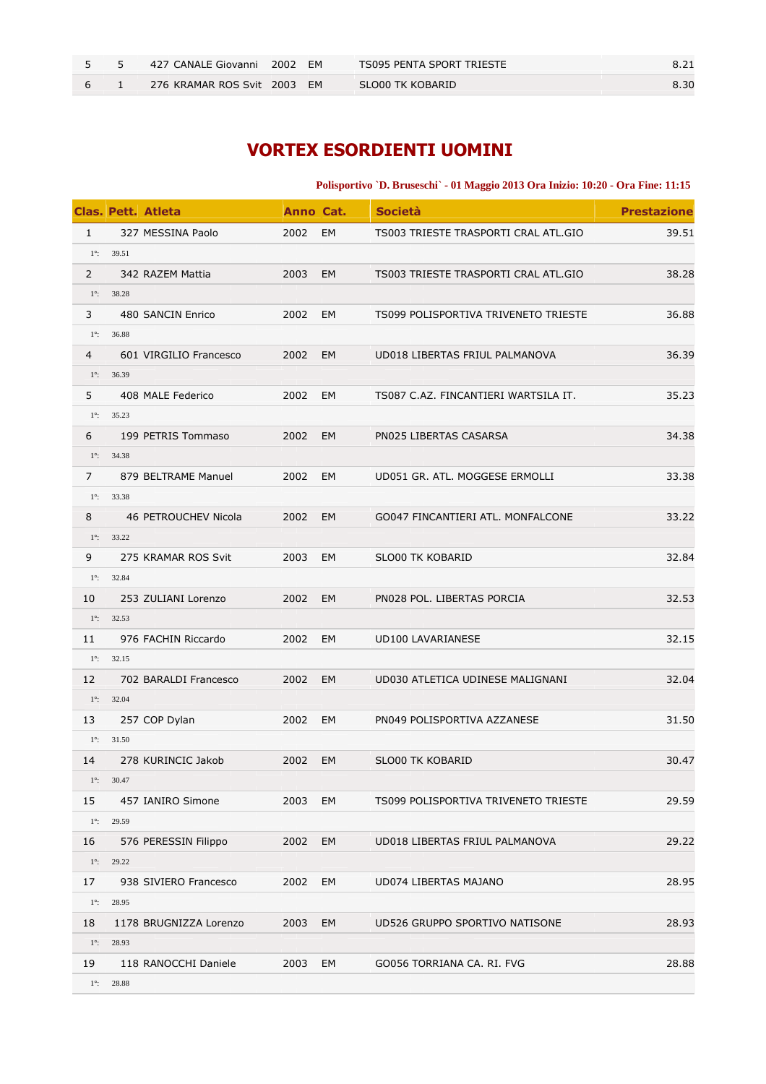|  | 427 CANALE Giovanni 2002 EM |  | TS095 PENTA SPORT TRIESTE |      |
|--|-----------------------------|--|---------------------------|------|
|  | 276 KRAMAR ROS Svit 2003 EM |  | SLO00 TK KOBARID          | 8.30 |

# **VORTEX ESORDIENTI UOMINI**

#### **Polisportivo `D. Bruseschi` - 01 Maggio 2013 Ora Inizio: 10:20 - Ora Fine: 11:15**

|                |                     | <b>Clas. Pett. Atleta</b> | Anno Cat. |    | <b>Società</b>                       | <b>Prestazione</b> |
|----------------|---------------------|---------------------------|-----------|----|--------------------------------------|--------------------|
| $\mathbf{1}$   |                     | 327 MESSINA Paolo         | 2002      | EM | TS003 TRIESTE TRASPORTI CRAL ATL.GIO | 39.51              |
|                | $1^{\circ}$ : 39.51 |                           |           |    |                                      |                    |
| $\overline{2}$ |                     | 342 RAZEM Mattia          | 2003 EM   |    | TS003 TRIESTE TRASPORTI CRAL ATL.GIO | 38.28              |
| $1^\circ$ :    | 38.28               |                           |           |    |                                      |                    |
| 3              |                     | 480 SANCIN Enrico         | 2002      | EM | TS099 POLISPORTIVA TRIVENETO TRIESTE | 36.88              |
| $1^\circ$ :    | 36.88               |                           |           |    |                                      |                    |
| 4              |                     | 601 VIRGILIO Francesco    | 2002 EM   |    | UD018 LIBERTAS FRIUL PALMANOVA       | 36.39              |
|                | $1^{\circ}$ : 36.39 |                           |           |    |                                      |                    |
| 5              |                     | 408 MALE Federico         | 2002      | EM | TS087 C.AZ. FINCANTIERI WARTSILA IT. | 35.23              |
|                | $1^{\circ}$ : 35.23 |                           |           |    |                                      |                    |
| 6              |                     | 199 PETRIS Tommaso        | 2002 EM   |    | PN025 LIBERTAS CASARSA               | 34.38              |
|                | $1^{\circ}$ : 34.38 |                           |           |    |                                      |                    |
| $\overline{7}$ |                     | 879 BELTRAME Manuel       | 2002      | EM | UD051 GR. ATL. MOGGESE ERMOLLI       | 33.38              |
|                | $1^{\circ}$ : 33.38 |                           |           |    |                                      |                    |
| 8              |                     | 46 PETROUCHEV Nicola      | 2002 EM   |    | GO047 FINCANTIERI ATL. MONFALCONE    | 33.22              |
| $1^\circ$ :    | 33.22               |                           |           |    |                                      |                    |
| 9              |                     | 275 KRAMAR ROS Svit       | 2003      | EM | <b>SLO00 TK KOBARID</b>              | 32.84              |
|                | $1^{\circ}$ : 32.84 |                           |           |    |                                      |                    |
| 10             |                     | 253 ZULIANI Lorenzo       | 2002 EM   |    | PN028 POL. LIBERTAS PORCIA           | 32.53              |
|                | $1^{\circ}$ : 32.53 |                           |           |    |                                      |                    |
| 11             |                     | 976 FACHIN Riccardo       | 2002      | EM | UD100 LAVARIANESE                    | 32.15              |
|                | $1^{\circ}$ : 32.15 |                           |           |    |                                      |                    |
| 12             |                     | 702 BARALDI Francesco     | 2002 EM   |    | UD030 ATLETICA UDINESE MALIGNANI     | 32.04              |
|                | $1^{\circ}$ : 32.04 |                           |           |    |                                      |                    |
| 13             |                     | 257 COP Dylan             | 2002      | EM | PN049 POLISPORTIVA AZZANESE          | 31.50              |
|                | $1^{\circ}$ : 31.50 |                           |           |    |                                      |                    |
| 14             |                     | 278 KURINCIC Jakob        | 2002 EM   |    | <b>SLO00 TK KOBARID</b>              | 30.47              |
| $1^\circ$ :    | 30.47               |                           |           |    |                                      |                    |
| 15             |                     | 457 IANIRO Simone         | 2003      | EM | TS099 POLISPORTIVA TRIVENETO TRIESTE | 29.59              |
| $1^\circ$ :    | 29.59               |                           |           |    |                                      |                    |
| 16             |                     | 576 PERESSIN Filippo      | 2002      | EM | UD018 LIBERTAS FRIUL PALMANOVA       | 29.22              |
| $1^\circ$ :    | 29.22               |                           |           |    |                                      |                    |
| 17             |                     | 938 SIVIERO Francesco     | 2002      | EM | UD074 LIBERTAS MAJANO                | 28.95              |
| $1^\circ$ :    | 28.95               |                           |           |    |                                      |                    |
| 18             |                     | 1178 BRUGNIZZA Lorenzo    | 2003      | EM | UD526 GRUPPO SPORTIVO NATISONE       | 28.93              |
| $1^\circ$ :    | 28.93               |                           |           |    |                                      |                    |
| 19             |                     | 118 RANOCCHI Daniele      | 2003      | EM | GO056 TORRIANA CA. RI. FVG           | 28.88              |
| $1^\circ$ :    | 28.88               |                           |           |    |                                      |                    |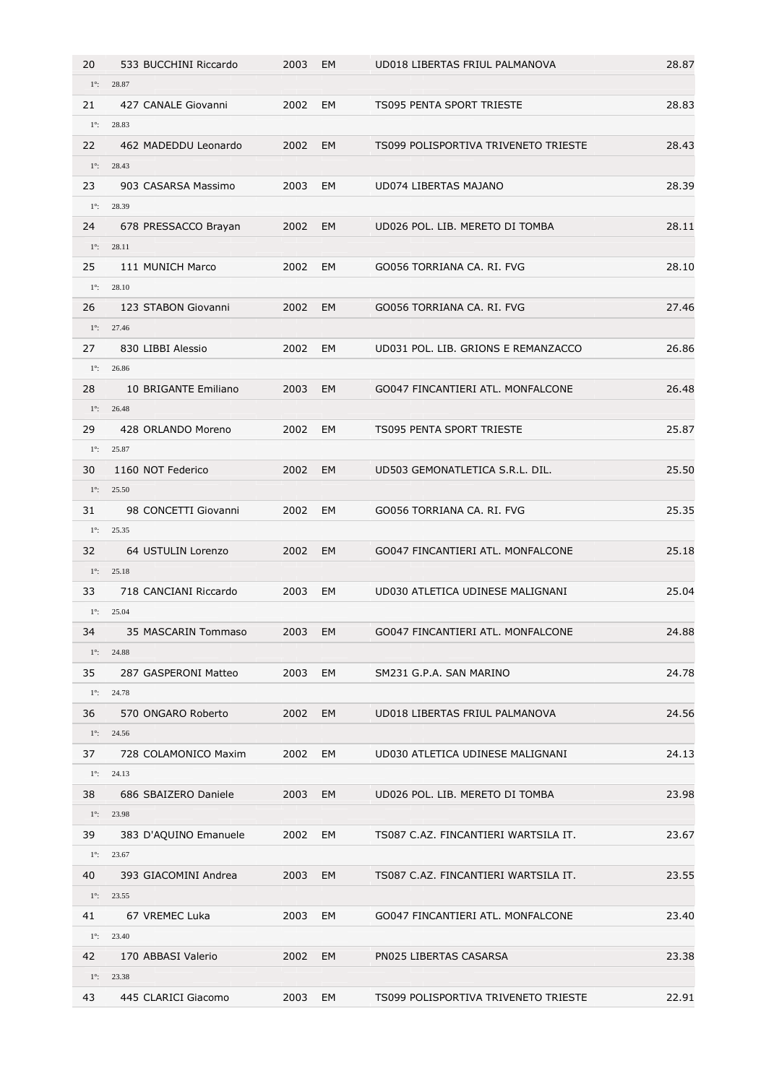| 20          | 533 BUCCHINI Riccardo | 2003    | EM        | UD018 LIBERTAS FRIUL PALMANOVA       | 28.87 |
|-------------|-----------------------|---------|-----------|--------------------------------------|-------|
| $1^\circ$ : | 28.87                 |         |           |                                      |       |
| 21          | 427 CANALE Giovanni   | 2002    | <b>EM</b> | <b>TS095 PENTA SPORT TRIESTE</b>     | 28.83 |
| $1^\circ$ : | 28.83                 |         |           |                                      |       |
| 22          | 462 MADEDDU Leonardo  | 2002    | EM        | TS099 POLISPORTIVA TRIVENETO TRIESTE | 28.43 |
| $1^\circ$ : | 28.43                 |         |           |                                      |       |
| 23          | 903 CASARSA Massimo   | 2003    | EM        | UD074 LIBERTAS MAJANO                | 28.39 |
| $1^\circ$ : | 28.39                 |         |           |                                      |       |
| 24          | 678 PRESSACCO Brayan  | 2002    | EM        | UD026 POL. LIB. MERETO DI TOMBA      | 28.11 |
| $1^\circ$ : | 28.11                 |         |           |                                      |       |
| 25          | 111 MUNICH Marco      | 2002    | EM        | GO056 TORRIANA CA. RI. FVG           | 28.10 |
| $1^\circ$ : | 28.10                 |         |           |                                      |       |
| 26          | 123 STABON Giovanni   | 2002    | EM        | GO056 TORRIANA CA. RI. FVG           | 27.46 |
|             | $1^{\circ}$ : 27.46   |         |           |                                      |       |
| 27          | 830 LIBBI Alessio     | 2002    | EM        | UD031 POL. LIB. GRIONS E REMANZACCO  | 26.86 |
| $1^\circ$ : | 26.86                 |         |           |                                      |       |
| 28          | 10 BRIGANTE Emiliano  | 2003    | EM        | GO047 FINCANTIERI ATL. MONFALCONE    | 26.48 |
| $1^\circ$ : | 26.48                 |         |           |                                      |       |
| 29          | 428 ORLANDO Moreno    | 2002    | EM        | <b>TS095 PENTA SPORT TRIESTE</b>     | 25.87 |
| $1^\circ$ : | 25.87                 |         |           |                                      |       |
| 30          | 1160 NOT Federico     | 2002    | EM        | UD503 GEMONATLETICA S.R.L. DIL.      | 25.50 |
| $1^\circ$ : | 25.50                 |         |           |                                      |       |
| 31          | 98 CONCETTI Giovanni  | 2002    | EM        | GO056 TORRIANA CA. RI. FVG           | 25.35 |
| $1^\circ$ : | 25.35                 |         |           |                                      |       |
| 32          | 64 USTULIN Lorenzo    | 2002    | EM        | GO047 FINCANTIERI ATL. MONFALCONE    | 25.18 |
| $1^\circ$ : | 25.18                 |         |           |                                      |       |
| 33          | 718 CANCIANI Riccardo | 2003    | EM        | UD030 ATLETICA UDINESE MALIGNANI     | 25.04 |
| $1^\circ$ : | 25.04                 |         |           |                                      |       |
| 34          | 35 MASCARIN Tommaso   | 2003 EM |           | GO047 FINCANTIERI ATL. MONFALCONE    | 24.88 |
|             | $1^{\circ}$ : 24.88   |         |           |                                      |       |
| 35          | 287 GASPERONI Matteo  | 2003    | EM        | SM231 G.P.A. SAN MARINO              | 24.78 |
|             | $1^{\circ}$ : 24.78   |         |           |                                      |       |
| 36          | 570 ONGARO Roberto    | 2002    | EM        | UD018 LIBERTAS FRIUL PALMANOVA       | 24.56 |
|             | $1^{\circ}$ : 24.56   |         |           |                                      |       |
| 37          | 728 COLAMONICO Maxim  | 2002    | EM        | UD030 ATLETICA UDINESE MALIGNANI     | 24.13 |
|             | $1^{\circ}$ : 24.13   |         |           |                                      |       |
| 38          | 686 SBAIZERO Daniele  | 2003    | EM        | UD026 POL. LIB. MERETO DI TOMBA      | 23.98 |
|             | $1^{\circ}$ : 23.98   |         |           |                                      |       |
| 39          | 383 D'AQUINO Emanuele | 2002    | EM        | TS087 C.AZ. FINCANTIERI WARTSILA IT. | 23.67 |
| $1^\circ$ : | 23.67                 |         |           |                                      |       |
| 40          | 393 GIACOMINI Andrea  | 2003    | EM        | TS087 C.AZ. FINCANTIERI WARTSILA IT. | 23.55 |
|             | $1^{\circ}$ : 23.55   |         |           |                                      |       |
| 41          | 67 VREMEC Luka        | 2003    | EM        | GO047 FINCANTIERI ATL. MONFALCONE    | 23.40 |
|             | $1^{\circ}$ : 23.40   |         |           |                                      |       |
| 42          | 170 ABBASI Valerio    | 2002    | EM        | PN025 LIBERTAS CASARSA               | 23.38 |
| $1^\circ$ : | 23.38                 |         |           |                                      |       |
| 43          | 445 CLARICI Giacomo   | 2003    | EM        | TS099 POLISPORTIVA TRIVENETO TRIESTE | 22.91 |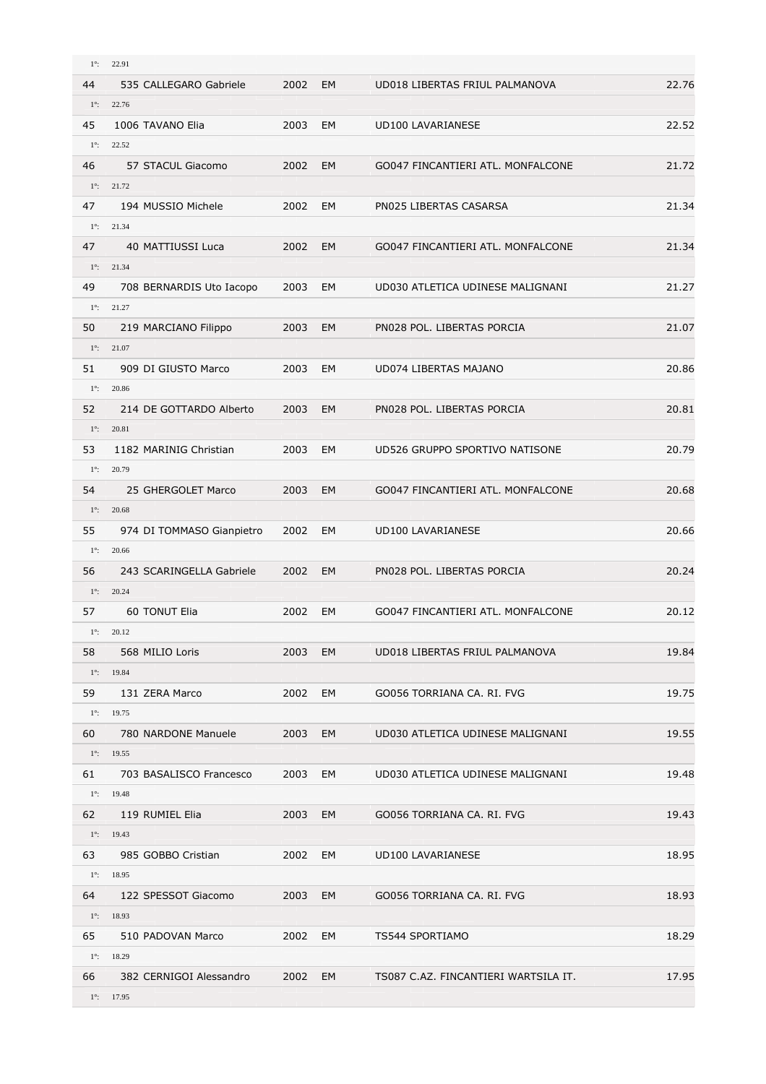| $1^\circ$ :       | 22.91                     |         |           |                                      |       |
|-------------------|---------------------------|---------|-----------|--------------------------------------|-------|
| 44                | 535 CALLEGARO Gabriele    | 2002    | <b>EM</b> | UD018 LIBERTAS FRIUL PALMANOVA       | 22.76 |
| $1^\circ$ :       | 22.76                     |         |           |                                      |       |
| 45                | 1006 TAVANO Elia          | 2003    | EM        | <b>UD100 LAVARIANESE</b>             | 22.52 |
| $1^\circ$ :       | 22.52                     |         |           |                                      |       |
| 46                | 57 STACUL Giacomo         | 2002    | EM        | GO047 FINCANTIERI ATL. MONFALCONE    | 21.72 |
|                   | $1^{\circ}$ : 21.72       |         |           |                                      |       |
| 47                | 194 MUSSIO Michele        | 2002    | EM        | PN025 LIBERTAS CASARSA               | 21.34 |
| $1^\circ$ :       | 21.34                     |         |           |                                      |       |
| 47                | 40 MATTIUSSI Luca         | 2002    | EM        | GO047 FINCANTIERI ATL. MONFALCONE    | 21.34 |
|                   | $1^{\circ}$ : 21.34       |         |           |                                      |       |
| 49                | 708 BERNARDIS Uto Iacopo  | 2003    | EM        | UD030 ATLETICA UDINESE MALIGNANI     | 21.27 |
| $1^\circ$ :       | 21.27                     |         |           |                                      |       |
| 50                | 219 MARCIANO Filippo      | 2003    | EM        | PN028 POL. LIBERTAS PORCIA           | 21.07 |
|                   | $1^{\circ}$ : 21.07       |         |           |                                      |       |
|                   |                           |         |           |                                      |       |
| 51                | 909 DI GIUSTO Marco       | 2003    | EM        | UD074 LIBERTAS MAJANO                | 20.86 |
| $1^\circ$ :       | 20.86                     |         |           |                                      |       |
| 52                | 214 DE GOTTARDO Alberto   | 2003    | EM        | PN028 POL. LIBERTAS PORCIA           | 20.81 |
| $1^\circ$ :       | 20.81                     |         |           |                                      |       |
| 53                | 1182 MARINIG Christian    | 2003    | EM        | UD526 GRUPPO SPORTIVO NATISONE       | 20.79 |
| $1^\circ$ :       | 20.79                     |         |           |                                      |       |
| 54                | 25 GHERGOLET Marco        | 2003    | <b>EM</b> | GO047 FINCANTIERI ATL. MONFALCONE    | 20.68 |
| $1^\circ$ :       | 20.68                     |         |           |                                      |       |
| 55                | 974 DI TOMMASO Gianpietro | 2002    | EM        | <b>UD100 LAVARIANESE</b>             | 20.66 |
| $1^\circ$ :       | 20.66                     |         |           |                                      |       |
| 56                | 243 SCARINGELLA Gabriele  | 2002    | EM        | PN028 POL. LIBERTAS PORCIA           | 20.24 |
| $1^\circ$ :       | 20.24                     |         |           |                                      |       |
| 57                | 60 TONUT Elia             | 2002    | EM        | GO047 FINCANTIERI ATL. MONFALCONE    | 20.12 |
|                   | $1^{\circ}$ : 20.12       |         |           |                                      |       |
| 58                | 568 MILIO Loris           | 2003    | EM        | UD018 LIBERTAS FRIUL PALMANOVA       | 19.84 |
|                   | $1^{\circ}$ : 19.84       |         |           |                                      |       |
| 59                | 131 ZERA Marco            | 2002    | EM        | GO056 TORRIANA CA. RI. FVG           | 19.75 |
| $1^\circ$ :       | 19.75                     |         |           |                                      |       |
| 60                | 780 NARDONE Manuele       | 2003    | EM        | UD030 ATLETICA UDINESE MALIGNANI     | 19.55 |
|                   | $1^{\circ}$ : 19.55       |         |           |                                      |       |
| 61                | 703 BASALISCO Francesco   | 2003    | EM        | UD030 ATLETICA UDINESE MALIGNANI     | 19.48 |
| $1^\circ$ :       | 19.48                     |         |           |                                      |       |
| 62                | 119 RUMIEL Elia           | 2003    | EM        | GO056 TORRIANA CA. RI. FVG           | 19.43 |
|                   | $1^{\circ}$ : 19.43       |         |           |                                      |       |
| 63                | 985 GOBBO Cristian        | 2002    | EM        | UD100 LAVARIANESE                    | 18.95 |
| $1^\circ$ :       | 18.95                     |         |           |                                      |       |
| 64                | 122 SPESSOT Giacomo       | 2003    | EM        | GO056 TORRIANA CA. RI. FVG           | 18.93 |
|                   | $1^{\circ}$ : 18.93       |         |           |                                      |       |
|                   |                           |         |           |                                      |       |
| 65<br>$1^\circ$ : | 510 PADOVAN Marco         | 2002    | EM        | TS544 SPORTIAMO                      | 18.29 |
|                   | 18.29                     |         |           |                                      |       |
| 66                | 382 CERNIGOI Alessandro   | 2002 EM |           | TS087 C.AZ. FINCANTIERI WARTSILA IT. | 17.95 |
|                   | $1^{\circ}$ : 17.95       |         |           |                                      |       |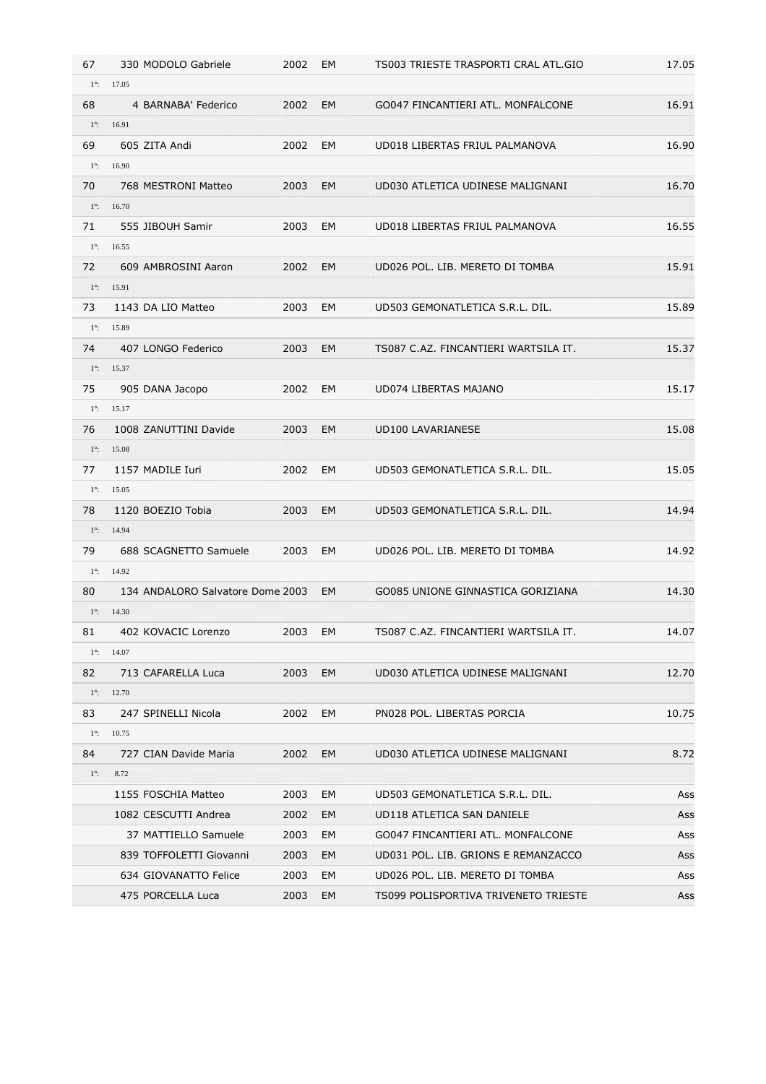| 67          | 330 MODOLO Gabriele              | 2002    | EM        | TS003 TRIESTE TRASPORTI CRAL ATL.GIO | 17.05 |
|-------------|----------------------------------|---------|-----------|--------------------------------------|-------|
| $1^\circ$ : | 17.05                            |         |           |                                      |       |
| 68          | 4 BARNABA' Federico              | 2002    | <b>EM</b> | GO047 FINCANTIERI ATL. MONFALCONE    | 16.91 |
| $1^\circ$ : | 16.91                            |         |           |                                      |       |
| 69          | 605 ZITA Andi                    | 2002    | EM        | UD018 LIBERTAS FRIUL PALMANOVA       | 16.90 |
| $1^\circ$ : | 16.90                            |         |           |                                      |       |
| 70          | 768 MESTRONI Matteo              | 2003    | <b>EM</b> | UD030 ATLETICA UDINESE MALIGNANI     | 16.70 |
| $1^\circ$ : | 16.70                            |         |           |                                      |       |
| 71          | 555 JIBOUH Samir                 | 2003    | EM        | UD018 LIBERTAS FRIUL PALMANOVA       | 16.55 |
| $1^\circ$ : | 16.55                            |         |           |                                      |       |
| 72          | 609 AMBROSINI Aaron              | 2002    | EM        | UD026 POL. LIB. MERETO DI TOMBA      | 15.91 |
| $1^\circ$ : | 15.91                            |         |           |                                      |       |
| 73          | 1143 DA LIO Matteo               | 2003    | EM        | UD503 GEMONATLETICA S.R.L. DIL.      | 15.89 |
| $1^\circ$ : | 15.89                            |         |           |                                      |       |
| 74          | 407 LONGO Federico               | 2003    | EM        | TS087 C.AZ. FINCANTIERI WARTSILA IT. | 15.37 |
| $1^\circ$ : | 15.37                            |         |           |                                      |       |
| 75          | 905 DANA Jacopo                  | 2002    | EM        | UD074 LIBERTAS MAJANO                | 15.17 |
| $1^\circ$ : | 15.17                            |         |           |                                      |       |
| 76          | 1008 ZANUTTINI Davide            | 2003    | EM        | UD100 LAVARIANESE                    | 15.08 |
| $1^\circ$ : | 15.08                            |         |           |                                      |       |
| 77          | 1157 MADILE Iuri                 | 2002    | EM        | UD503 GEMONATLETICA S.R.L. DIL.      | 15.05 |
| $1^\circ$ : | 15.05                            |         |           |                                      |       |
| 78          | 1120 BOEZIO Tobia                | 2003    | EM        | UD503 GEMONATLETICA S.R.L. DIL.      | 14.94 |
| $1^\circ$ : | 14.94                            |         |           |                                      |       |
| 79          | 688 SCAGNETTO Samuele            | 2003    | <b>EM</b> | UD026 POL. LIB. MERETO DI TOMBA      | 14.92 |
| $1^\circ$ : | 14.92                            |         |           |                                      |       |
| 80          | 134 ANDALORO Salvatore Dome 2003 |         | EM        | GO085 UNIONE GINNASTICA GORIZIANA    | 14.30 |
|             | $1^{\circ}$ : 14.30              |         |           |                                      |       |
| 81          | 402 KOVACIC Lorenzo              | 2003 EM |           | TS087 C.AZ. FINCANTIERI WARTSILA IT. | 14.07 |
| $1^\circ$ : | 14.07                            |         |           |                                      |       |
| 82          | 713 CAFARELLA Luca               | 2003    | EM        | UD030 ATLETICA UDINESE MALIGNANI     | 12.70 |
| $1^\circ$ : | 12.70                            |         |           |                                      |       |
| 83          | 247 SPINELLI Nicola              | 2002    | EM        | PN028 POL. LIBERTAS PORCIA           | 10.75 |
| $1^\circ$ : | 10.75                            |         |           |                                      |       |
| 84          | 727 CIAN Davide Maria            | 2002 EM |           | UD030 ATLETICA UDINESE MALIGNANI     | 8.72  |
| $1^\circ$ : | 8.72                             |         |           |                                      |       |
|             | 1155 FOSCHIA Matteo              | 2003    | EM        | UD503 GEMONATLETICA S.R.L. DIL.      | Ass   |
|             | 1082 CESCUTTI Andrea             | 2002    | EM        | UD118 ATLETICA SAN DANIELE           | Ass   |
|             | 37 MATTIELLO Samuele             | 2003    | EM        | GO047 FINCANTIERI ATL. MONFALCONE    | Ass   |
|             | 839 TOFFOLETTI Giovanni          | 2003    | EM        | UD031 POL. LIB. GRIONS E REMANZACCO  | Ass   |
|             | 634 GIOVANATTO Felice            | 2003    | EM        | UD026 POL. LIB. MERETO DI TOMBA      | Ass   |
|             | 475 PORCELLA Luca                | 2003    | EM        | TS099 POLISPORTIVA TRIVENETO TRIESTE | Ass   |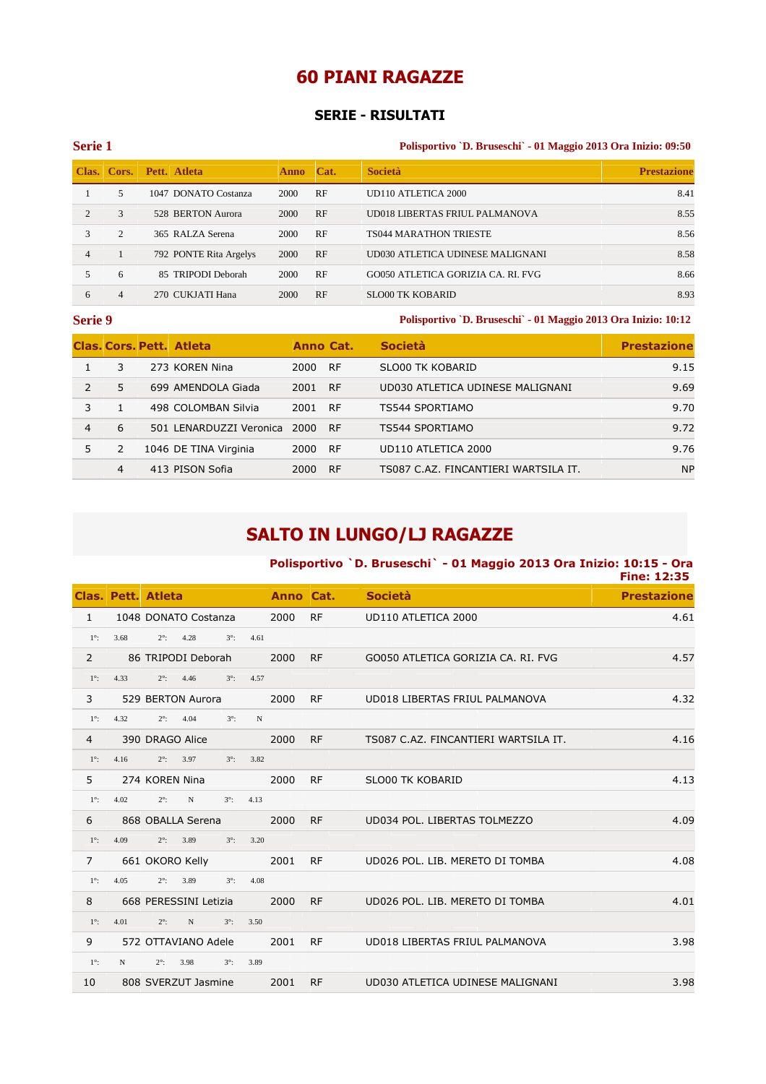## **60 PIANI RAGAZZE**

#### **SERIE - RISULTATI**

#### **Serie 1 Polisportivo `D. Bruseschi` - 01 Maggio 2013 Ora Inizio: 09:50**

|                |               | Clas. Cors. Pett. Atleta | Anno Cat. |    | <b>Società</b>                     | <b>Prestazione</b> |
|----------------|---------------|--------------------------|-----------|----|------------------------------------|--------------------|
|                | 5.            | 1047 DONATO Costanza     | 2000      | RF | UD110 ATLETICA 2000                | 8.41               |
| $\mathfrak{D}$ | $\mathcal{L}$ | 528 BERTON Aurora        | 2000      | RF | UD018 LIBERTAS FRIUL PALMANOVA     | 8.55               |
| 3              | 2             | 365 RALZA Serena         | 2000      | RF | <b>TS044 MARATHON TRIESTE</b>      | 8.56               |
| $\overline{4}$ |               | 792 PONTE Rita Argelys   | 2000      | RF | UD030 ATLETICA UDINESE MALIGNANI   | 8.58               |
|                | 6             | 85 TRIPODI Deborah       | 2000      | RF | GO050 ATLETICA GORIZIA CA. RI. FVG | 8.66               |
| 6              | 4             | 270 CUKJATI Hana         | 2000      | RF | <b>SLO00 TK KOBARID</b>            | 8.93               |

**Serie 9 Polisportivo `D. Bruseschi` - 01 Maggio 2013 Ora Inizio: 10:12** 

|               |    | <b>Clas, Cors, Pett. Atleta</b> | Anno Cat. |           | <b>Società</b>                       | <b>Prestazione</b> |
|---------------|----|---------------------------------|-----------|-----------|--------------------------------------|--------------------|
|               | 3  | 273 KOREN Nina                  | 2000      | <b>RF</b> | SLO00 TK KOBARID                     | 9.15               |
| $\mathcal{P}$ | 5. | 699 AMENDOLA Giada              | 2001      | <b>RF</b> | UD030 ATLETICA UDINESE MALIGNANI     | 9.69               |
| 3             |    | 498 COLOMBAN Silvia             | 2001      | <b>RF</b> | TS544 SPORTIAMO                      | 9.70               |
| 4             | 6  | 501 LENARDUZZI Veronica         | 2000      | <b>RF</b> | TS544 SPORTIAMO                      | 9.72               |
|               |    | 1046 DE TINA Virginia           | 2000      | <b>RF</b> | UD110 ATLETICA 2000                  | 9.76               |
|               | 4  | 413 PISON Sofia                 | 2000      | <b>RF</b> | TS087 C.AZ. FINCANTIERI WARTSILA IT. | <b>NP</b>          |

# **SALTO IN LUNGO/LJ RAGAZZE**

## **Polisportivo `D. Bruseschi` - 01 Maggio 2013 Ora Inizio: 10:15 - Ora Fine: 12:35 Clas. Pett. Atleta Anno Cat. Società Prestazione** 1 1048 DONATO Costanza 2000 RF UD110 ATLETICA 2000 4.61 1°: 3.68 2°: 4.28 3°: 4.61 2 86 TRIPODI Deborah 2000 RF GO050 ATLETICA GORIZIA CA. RI. FVG 4.57  $1^\circ$ : 4.33  $2^\circ$ : 4.46  $3^\circ$ : 4.57 3 529 BERTON Aurora 2000 RF UD018 LIBERTAS FRIUL PALMANOVA 4.32 1°: 4.32 2°: 4.04 3°: N 4 390 DRAGO Alice 2000 RF TS087 C.AZ. FINCANTIERI WARTSILA IT. 4.16  $1^{\circ}$ : 4.16  $2^{\circ}$ : 3.97  $3^{\circ}$ : 3.82 5 274 KOREN Nina 2000 RF SLO00 TK KOBARID 4.13  $1^\circ$ : 4.02  $2^\circ$ : N  $3^\circ$ : 4.13 6 868 OBALLA Serena 2000 RF UD034 POL. LIBERTAS TOLMEZZO 4.09 1°: 4.09 2°: 3.89 3°: 3.20 7 661 OKORO Kelly 2001 RF UD026 POL. LIB. MERETO DI TOMBA 4.08 1°: 4.05 2°: 3.89 3°: 4.08 8 668 PERESSINI Letizia 2000 RF UD026 POL. LIB. MERETO DI TOMBA 4.01 1°: 4.01 2°: N 3°: 3.50 9 572 OTTAVIANO Adele 2001 RF UD018 LIBERTAS FRIUL PALMANOVA 3.98 1°: N 2°: 3.98 3°: 3.89 10 808 SVERZUT Jasmine 2001 RF UD030 ATLETICA UDINESE MALIGNANI 3.98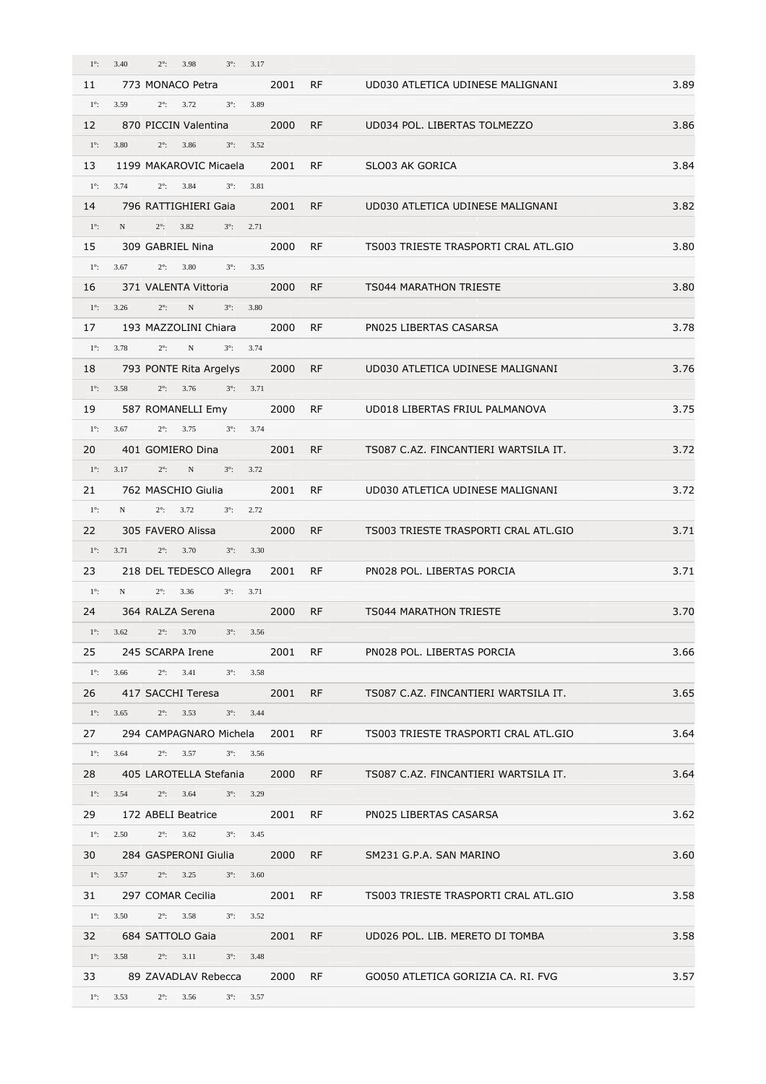| $1^\circ$ : | 3.40<br>3.17<br>$2^\circ$ :<br>3.98<br>$3^\circ$ :       |      |           |                                      |      |
|-------------|----------------------------------------------------------|------|-----------|--------------------------------------|------|
| 11          | 773 MONACO Petra                                         | 2001 | RF.       | UD030 ATLETICA UDINESE MALIGNANI     | 3.89 |
| $1^\circ$ : | 3.59<br>$2^{\circ}$ : 3.72<br>$3^{\circ}$ : 3.89         |      |           |                                      |      |
| 12          | 870 PICCIN Valentina                                     | 2000 | RF.       | UD034 POL. LIBERTAS TOLMEZZO         | 3.86 |
| $1^\circ$ : | 3.80<br>$2^\circ$ :<br>3.86<br>$3^\circ$ :<br>3.52       |      |           |                                      |      |
| 13          | 1199 MAKAROVIC Micaela                                   | 2001 | <b>RF</b> | SLO03 AK GORICA                      | 3.84 |
| $1^\circ$ : | 3.74<br>$2^\circ$ :<br>3.84<br>$3^\circ$ :<br>3.81       |      |           |                                      |      |
| 14          | 796 RATTIGHIERI Gaia                                     | 2001 | <b>RF</b> | UD030 ATLETICA UDINESE MALIGNANI     | 3.82 |
| $1^\circ$ : | $2^\circ$ :<br>3.82<br>$3^{\circ}$ : 2.71<br>N           |      |           |                                      |      |
| 15          | 309 GABRIEL Nina                                         | 2000 | <b>RF</b> | TS003 TRIESTE TRASPORTI CRAL ATL.GIO | 3.80 |
| $1^\circ$ : | 3.67<br>$2^{\circ}$ : 3.80<br>$3^\circ$ :<br>3.35        |      |           |                                      |      |
| 16          | 371 VALENTA Vittoria                                     | 2000 | <b>RF</b> | <b>TS044 MARATHON TRIESTE</b>        | 3.80 |
| $1^\circ$ : | $2^\circ$ :<br>3.26<br>N<br>$3^\circ$ :<br>3.80          |      |           |                                      |      |
| 17          | 193 MAZZOLINI Chiara                                     | 2000 | <b>RF</b> | PN025 LIBERTAS CASARSA               | 3.78 |
| $1^\circ$ : | $2^\circ$ :<br>3.78<br>N<br>$3^{\circ}$ : 3.74           |      |           |                                      |      |
| 18          | 793 PONTE Rita Argelys                                   | 2000 | RF.       | UD030 ATLETICA UDINESE MALIGNANI     | 3.76 |
| $1^\circ$ : | 3.58<br>$2^\circ$ :<br>3.76<br>$3^{\circ}$ : $3.71$      |      |           |                                      |      |
| 19          | 587 ROMANELLI Emy                                        | 2000 | <b>RF</b> | UD018 LIBERTAS FRIUL PALMANOVA       | 3.75 |
| $1^\circ$ : | $2^{\circ}$ : 3.75<br>$3^\circ$ :<br>3.67<br>3.74        |      |           |                                      |      |
| 20          | 401 GOMIERO Dina                                         | 2001 | RF        | TS087 C.AZ. FINCANTIERI WARTSILA IT. | 3.72 |
| $1^\circ$ : | $2^\circ$ :<br>$\mathbf N$<br>$3^{\circ}$ : 3.72<br>3.17 |      |           |                                      |      |
| 21          | 762 MASCHIO Giulia                                       | 2001 | <b>RF</b> | UD030 ATLETICA UDINESE MALIGNANI     | 3.72 |
| $1^\circ$ : | $2^{\circ}$ : 3.72<br>N<br>$3^{\circ}$ : 2.72            |      |           |                                      |      |
| 22          | 305 FAVERO Alissa                                        | 2000 | <b>RF</b> | TS003 TRIESTE TRASPORTI CRAL ATL.GIO | 3.71 |
| $1^\circ$ : | $2^{\circ}$ : 3.70<br>$3^\circ$ :<br>3.71<br>3.30        |      |           |                                      |      |
| 23          | 218 DEL TEDESCO Allegra                                  | 2001 | RF        | PN028 POL. LIBERTAS PORCIA           | 3.71 |
| $1^\circ$ : | N<br>$2^\circ$ :<br>3.36<br>$3^{\circ}$ : $3.71$         |      |           |                                      |      |
| 24          | 364 RALZA Serena                                         | 2000 | <b>RF</b> | <b>TS044 MARATHON TRIESTE</b>        | 3.70 |
| $1^\circ$ : | $2^{\circ}$ : 3.70<br>3.62<br>$3^\circ$ :<br>3.56        |      |           |                                      |      |
|             | 245 SCARPA Irene                                         | 2001 |           |                                      |      |
| 25          |                                                          |      | RF        | PN028 POL. LIBERTAS PORCIA           | 3.66 |
| $1^\circ$ : | 3.41<br>3.66<br>$2^\circ$ :<br>$3^\circ$ :<br>3.58       |      |           |                                      |      |
| 26          | 417 SACCHI Teresa                                        | 2001 | <b>RF</b> | TS087 C.AZ. FINCANTIERI WARTSILA IT. | 3.65 |
| $1^\circ$ : | $2^\circ$ :<br>$3^\circ$ :<br>3.65<br>3.53<br>3.44       |      |           |                                      |      |
| 27          | 294 CAMPAGNARO Michela                                   | 2001 | RF        | TS003 TRIESTE TRASPORTI CRAL ATL.GIO | 3.64 |
| $1^\circ$ : | 3.64<br>$2^{\circ}$ :<br>3.57<br>$3^\circ$ :<br>3.56     |      |           |                                      |      |
| 28          | 405 LAROTELLA Stefania                                   | 2000 | <b>RF</b> | TS087 C.AZ. FINCANTIERI WARTSILA IT. | 3.64 |
| $1^\circ$ : | 3.54<br>$2^\circ$ :<br>3.64<br>$3^\circ$ :<br>3.29       |      |           |                                      |      |
| 29          | 172 ABELI Beatrice                                       | 2001 | RF.       | PN025 LIBERTAS CASARSA               | 3.62 |
| $1^\circ$ : | 2.50<br>$2^{\circ}$ : 3.62<br>$3^\circ$ :<br>3.45        |      |           |                                      |      |
| 30          | 284 GASPERONI Giulia                                     | 2000 | <b>RF</b> | SM231 G.P.A. SAN MARINO              | 3.60 |
| $1^\circ$ : | 3.57<br>$2^\circ$ :<br>3.25<br>$3^\circ$ :<br>3.60       |      |           |                                      |      |
| 31          | 297 COMAR Cecilia                                        | 2001 | <b>RF</b> | TS003 TRIESTE TRASPORTI CRAL ATL.GIO | 3.58 |
| $1^\circ$ : | $2^{\circ}$ : 3.58<br>3.50<br>$3^\circ$ :<br>3.52        |      |           |                                      |      |
| 32          | 684 SATTOLO Gaia                                         | 2001 | <b>RF</b> | UD026 POL. LIB. MERETO DI TOMBA      | 3.58 |
| $1^\circ$ : | 3.58<br>$2^\circ$ :<br>3.11<br>$3^\circ$ :<br>3.48       |      |           |                                      |      |
| 33          | 89 ZAVADLAV Rebecca                                      | 2000 | RF.       | GO050 ATLETICA GORIZIA CA. RI. FVG   | 3.57 |
| $1^\circ$ : | 3.53<br>$2^\circ$ :<br>3.56<br>$3^\circ$ :<br>3.57       |      |           |                                      |      |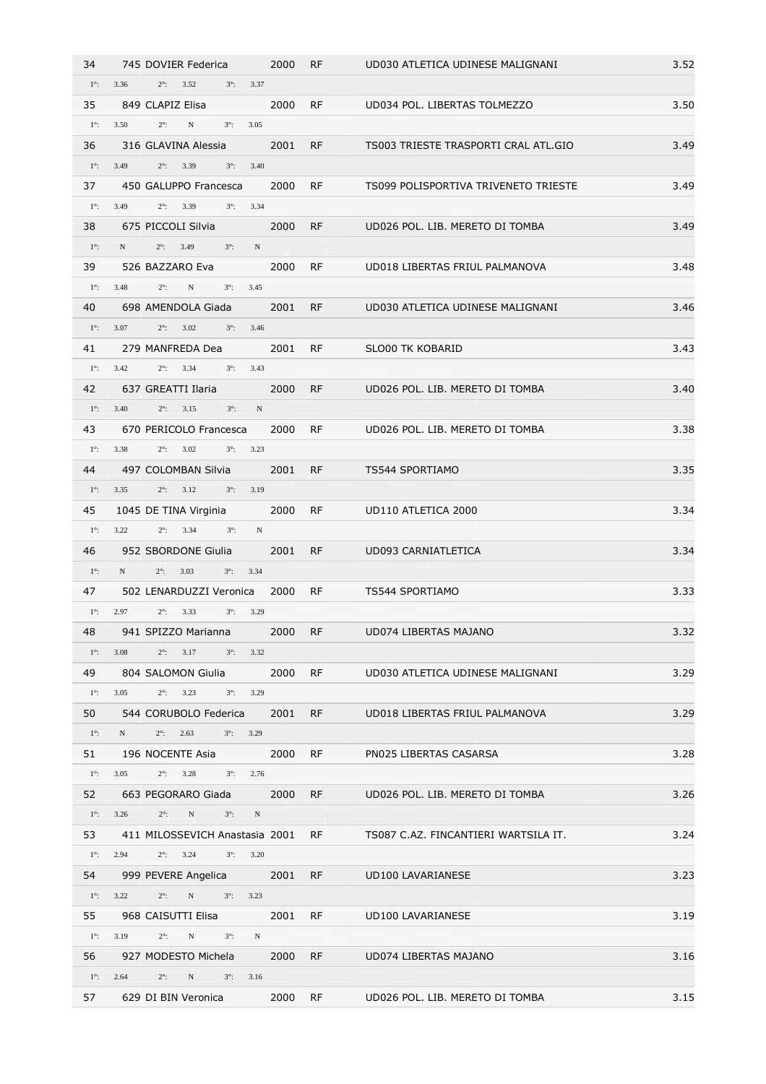| 34          | 745 DOVIER Federica                                       | 2000 | <b>RF</b> | UD030 ATLETICA UDINESE MALIGNANI     | 3.52 |
|-------------|-----------------------------------------------------------|------|-----------|--------------------------------------|------|
| $1^\circ$ : | 3.36<br>$2^\circ$ :<br>3.52<br>$3^\circ$ :<br>3.37        |      |           |                                      |      |
| 35          | 849 CLAPIZ Elisa                                          | 2000 | <b>RF</b> | UD034 POL. LIBERTAS TOLMEZZO         | 3.50 |
| $1^\circ$ : | $2^\circ$ :<br>3.50<br>N<br>$3^\circ$ :<br>3.05           |      |           |                                      |      |
| 36          | 316 GLAVINA Alessia                                       | 2001 | <b>RF</b> | TS003 TRIESTE TRASPORTI CRAL ATL.GIO | 3.49 |
| $1^\circ$ : | 3.49<br>$2^\circ$ :<br>3.39<br>$3^\circ$ :<br>3.40        |      |           |                                      |      |
| 37          | 450 GALUPPO Francesca                                     | 2000 | RF        | TS099 POLISPORTIVA TRIVENETO TRIESTE | 3.49 |
| $1^\circ$ : | 3.49<br>$2^\circ$ :<br>3.39<br>3.34<br>$3^\circ$ :        |      |           |                                      |      |
| 38          | 675 PICCOLI Silvia                                        | 2000 | <b>RF</b> | UD026 POL. LIB. MERETO DI TOMBA      | 3.49 |
| $1^\circ$ : | $2^\circ$ :<br>N<br>3.49<br>$3^\circ$ :<br>$\mathbf N$    |      |           |                                      |      |
| 39          | 526 BAZZARO Eva                                           | 2000 | <b>RF</b> | UD018 LIBERTAS FRIUL PALMANOVA       | 3.48 |
| $1^\circ$ : | 3.48<br>$2^\circ$ :<br>$_{\rm N}$<br>$3^\circ$ :<br>3.45  |      |           |                                      |      |
| 40          | 698 AMENDOLA Giada                                        | 2001 | <b>RF</b> | UD030 ATLETICA UDINESE MALIGNANI     | 3.46 |
| $1^\circ$ : | 3.07<br>3.46<br>$2^\circ$ :<br>3.02<br>$3^\circ$ :        |      |           |                                      |      |
| 41          | 279 MANFREDA Dea                                          | 2001 | <b>RF</b> | <b>SLO00 TK KOBARID</b>              | 3.43 |
| $1^\circ$ : | $2^\circ$ :<br>3.42<br>3.34<br>$3^\circ$ :<br>3.43        |      |           |                                      |      |
| 42          | 637 GREATTI Ilaria                                        | 2000 | <b>RF</b> | UD026 POL. LIB. MERETO DI TOMBA      | 3.40 |
| $1^\circ$ : | 3.40<br>$2^\circ$ :<br>3.15<br>$3^\circ$ :<br>$\mathbf N$ |      |           |                                      |      |
| 43          | 670 PERICOLO Francesca                                    | 2000 | <b>RF</b> | UD026 POL. LIB. MERETO DI TOMBA      | 3.38 |
| $1^\circ$ : | 3.38<br>$2^\circ$ :<br>3.02<br>$3^\circ$ :<br>3.23        |      |           |                                      |      |
| 44          | 497 COLOMBAN Silvia                                       | 2001 | <b>RF</b> | TS544 SPORTIAMO                      | 3.35 |
| $1^\circ$ : | $2^{\circ}$ : 3.12<br>$3^\circ$ :<br>3.35<br>3.19         |      |           |                                      |      |
| 45          | 1045 DE TINA Virginia                                     | 2000 | <b>RF</b> | UD110 ATLETICA 2000                  | 3.34 |
| $1^\circ$ : | 3.22<br>$2^\circ$ :<br>3.34<br>$3^\circ$ :<br>N           |      |           |                                      |      |
| 46          | 952 SBORDONE Giulia                                       | 2001 | RF.       | UD093 CARNIATLETICA                  | 3.34 |
| $1^\circ$ : | N<br>$2^\circ$ :<br>3.03<br>$3^\circ$ :<br>3.34           |      |           |                                      |      |
| 47          | 502 LENARDUZZI Veronica                                   | 2000 | <b>RF</b> | TS544 SPORTIAMO                      | 3.33 |
| $1^\circ$ : | 2.97<br>$2^\circ$ :<br>3.33<br>$3^\circ$ :<br>3.29        |      |           |                                      |      |
| 48          | 941 SPIZZO Marianna                                       | 2000 | <b>RF</b> | UD074 LIBERTAS MAJANO                | 3.32 |
| $1^\circ$ : | 3.08<br>$2^{\circ}$ : 3.17<br>$3^{\circ}$ : 3.32          |      |           |                                      |      |
| 49          | 804 SALOMON Giulia                                        | 2000 | <b>RF</b> | UD030 ATLETICA UDINESE MALIGNANI     | 3.29 |
| $1^\circ$ : | 3.05<br>$3^{\circ}$ : 3.29<br>$2^\circ$ :<br>3.23         |      |           |                                      |      |
| 50          | 544 CORUBOLO Federica                                     | 2001 | RF.       | UD018 LIBERTAS FRIUL PALMANOVA       | 3.29 |
| $1^\circ$ : | $2^{\circ}$ : 2.63<br>$3^{\circ}$ : 3.29<br>N             |      |           |                                      |      |
| 51          | 196 NOCENTE Asia                                          | 2000 | <b>RF</b> | PN025 LIBERTAS CASARSA               | 3.28 |
| $1^\circ$ : | $2^{\circ}$ : 3.28<br>$3^{\circ}$ : 2.76<br>3.05          |      |           |                                      |      |
| 52          | 663 PEGORARO Giada                                        | 2000 | RF.       | UD026 POL. LIB. MERETO DI TOMBA      | 3.26 |
| $1^\circ$ : | 3.26<br>N<br>$2^\circ$ :<br>$3^\circ$ :<br>N              |      |           |                                      |      |
| 53          | 411 MILOSSEVICH Anastasia 2001                            |      | RF        | TS087 C.AZ. FINCANTIERI WARTSILA IT. | 3.24 |
| $1^\circ$ : | $2^\circ$ :<br>$3^\circ$ :<br>2.94<br>3.24<br>3.20        |      |           |                                      |      |
| 54          | 999 PEVERE Angelica                                       | 2001 | RF        | UD100 LAVARIANESE                    | 3.23 |
| $1^\circ$ : | $2^\circ$ :<br>$N$ and $N$<br>3.22<br>$3^{\circ}$ : 3.23  |      |           |                                      |      |
| 55          | 968 CAISUTTI Elisa                                        | 2001 | <b>RF</b> | UD100 LAVARIANESE                    | 3.19 |
| $1^\circ$ : | 3.19<br>$2^\circ$ :<br>N<br>$3^\circ$ :<br>N              |      |           |                                      |      |
| 56          | 927 MODESTO Michela                                       | 2000 | RF.       | UD074 LIBERTAS MAJANO                | 3.16 |
| $1^\circ$ : | $2^\circ$ :<br>N<br>2.64<br>$3^{\circ}$ : 3.16            |      |           |                                      |      |
| 57          | 629 DI BIN Veronica                                       | 2000 | <b>RF</b> | UD026 POL. LIB. MERETO DI TOMBA      | 3.15 |
|             |                                                           |      |           |                                      |      |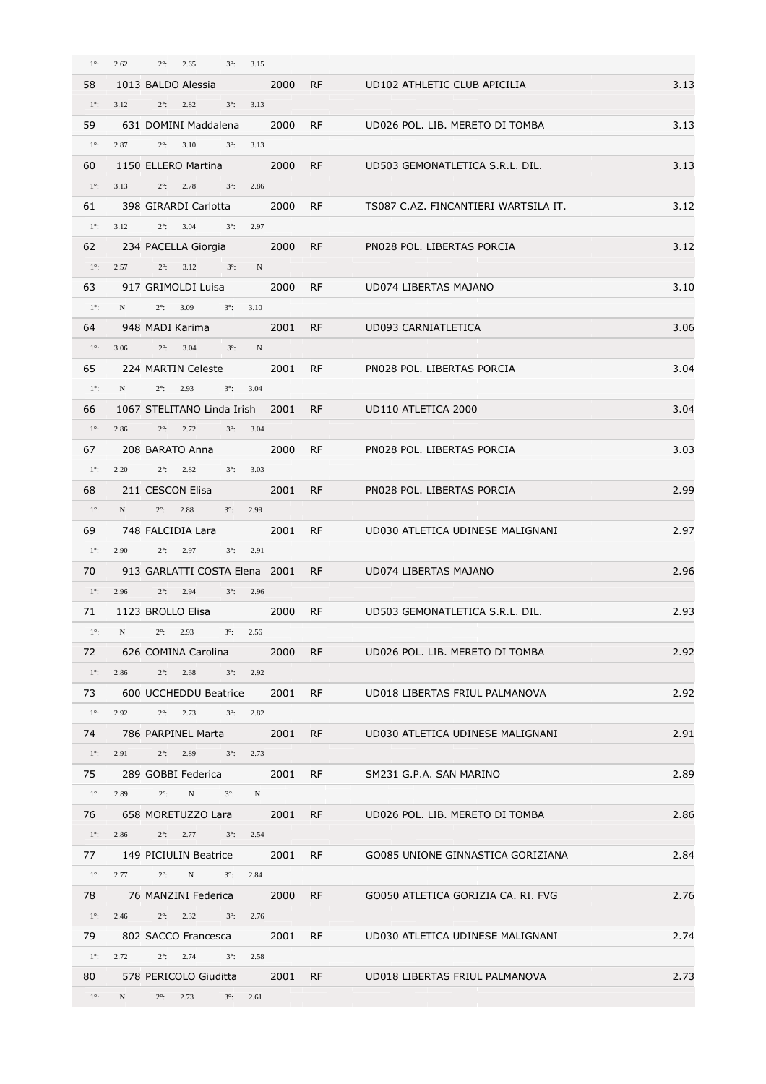| $1^\circ$ : | 2.62<br>$2^\circ$ :<br>2.65<br>$3^\circ$ :<br>3.15               |      |           |                                      |      |
|-------------|------------------------------------------------------------------|------|-----------|--------------------------------------|------|
| 58          | 1013 BALDO Alessia                                               | 2000 | <b>RF</b> | UD102 ATHLETIC CLUB APICILIA         | 3.13 |
| $1^\circ$ : | 3.12<br>$2^\circ$ :<br>2.82<br>$3^\circ$ :<br>3.13               |      |           |                                      |      |
| 59          | 631 DOMINI Maddalena                                             | 2000 | RF.       | UD026 POL. LIB. MERETO DI TOMBA      | 3.13 |
| $1^\circ$ : | 2.87<br>$2^\circ$ :<br>3.10<br>$3^\circ$ :<br>3.13               |      |           |                                      |      |
| 60          | 1150 ELLERO Martina                                              | 2000 | <b>RF</b> | UD503 GEMONATLETICA S.R.L. DIL.      | 3.13 |
| $1^\circ$ : | 3.13<br>$2^\circ$ :<br>2.78<br>$3^\circ$ :<br>2.86               |      |           |                                      |      |
| 61          | 398 GIRARDI Carlotta                                             | 2000 | <b>RF</b> | TS087 C.AZ. FINCANTIERI WARTSILA IT. | 3.12 |
| $1^\circ$ : | 3.12<br>$2^{\circ}$ : 3.04<br>$3^\circ$ :<br>2.97                |      |           |                                      |      |
|             |                                                                  |      |           |                                      |      |
| 62          | 234 PACELLA Giorgia                                              | 2000 | <b>RF</b> | PN028 POL. LIBERTAS PORCIA           | 3.12 |
| $1^\circ$ : | 2.57<br>$2^{\circ}$ : 3.12<br>$3^\circ$ :<br>N                   |      |           |                                      |      |
| 63          | 917 GRIMOLDI Luisa                                               | 2000 | <b>RF</b> | UD074 LIBERTAS MAJANO                | 3.10 |
| $1^\circ$ : | $2^{\circ}$ : 3.09<br>$3^\circ$ :<br>3.10<br>N                   |      |           |                                      |      |
| 64          | 948 MADI Karima                                                  | 2001 | <b>RF</b> | UD093 CARNIATLETICA                  | 3.06 |
| $1^\circ$ : | 3.06<br>$2^\circ$ :<br>3.04<br>$3^\circ$ :<br>$\mathbf N$        |      |           |                                      |      |
| 65          | 224 MARTIN Celeste                                               | 2001 | <b>RF</b> | PN028 POL. LIBERTAS PORCIA           | 3.04 |
| $1^\circ$ : | N<br>$2^\circ$ :<br>2.93<br>$3^\circ$ :<br>3.04                  |      |           |                                      |      |
| 66          | 1067 STELITANO Linda Irish                                       | 2001 | <b>RF</b> | UD110 ATLETICA 2000                  | 3.04 |
| $1^\circ$ : | $2^{\circ}$ : 2.72<br>$3^\circ$ :<br>3.04<br>2.86                |      |           |                                      |      |
| 67          | 208 BARATO Anna                                                  | 2000 | <b>RF</b> | PN028 POL. LIBERTAS PORCIA           | 3.03 |
| $1^\circ$ : | 2.20<br>$2^{\circ}$ : 2.82<br>$3^\circ$ :<br>3.03                |      |           |                                      |      |
| 68          | 211 CESCON Elisa                                                 | 2001 | <b>RF</b> | PN028 POL. LIBERTAS PORCIA           | 2.99 |
| $1^\circ$ : | N<br>$2^\circ$ :<br>2.88                                         |      |           |                                      |      |
|             | $3^\circ$ :<br>2.99                                              |      |           |                                      |      |
| 69          | 748 FALCIDIA Lara                                                | 2001 | <b>RF</b> | UD030 ATLETICA UDINESE MALIGNANI     | 2.97 |
| $1^\circ$ : | 2.90<br>$2^\circ$ :<br>2.97<br>$3^\circ$ :<br>2.91               |      |           |                                      |      |
| 70          | 913 GARLATTI COSTA Elena 2001                                    |      | <b>RF</b> | UD074 LIBERTAS MAJANO                | 2.96 |
| $1^\circ$ : | 2.96<br>$2^\circ$ :<br>2.94<br>$3^\circ$ :<br>2.96               |      |           |                                      |      |
| 71          | 1123 BROLLO Elisa                                                | 2000 | <b>RF</b> | UD503 GEMONATLETICA S.R.L. DIL.      | 2.93 |
| $1^\circ$ : | $_{\rm N}$<br>$2^{\circ}$ : 2.93<br>$3^\circ$ :<br>2.56          |      |           |                                      |      |
| 72          | 626 COMINA Carolina                                              | 2000 | <b>RF</b> | UD026 POL. LIB. MERETO DI TOMBA      | 2.92 |
| $1^\circ$ : | 2.86<br>$2^\circ$ :<br>2.68<br>$3^\circ$ :<br>2.92               |      |           |                                      |      |
| 73          | 600 UCCHEDDU Beatrice                                            | 2001 | <b>RF</b> | UD018 LIBERTAS FRIUL PALMANOVA       | 2.92 |
| $1^\circ$ : | 2.92<br>$2^\circ$ :<br>2.73<br>$3^\circ$ :<br>2.82               |      |           |                                      |      |
| 74          | 786 PARPINEL Marta                                               | 2001 | <b>RF</b> | UD030 ATLETICA UDINESE MALIGNANI     | 2.91 |
| $1^\circ$ : | 2.91<br>$2^\circ$ :<br>2.89<br>$3^\circ$ :<br>2.73               |      |           |                                      |      |
| 75          | 289 GOBBI Federica                                               | 2001 | RF        | SM231 G.P.A. SAN MARINO              | 2.89 |
| $1^\circ$ : | 2.89<br>$2^\circ$ :<br>$\mathbf N$<br>$3^\circ$ :<br>$\mathbf N$ |      |           |                                      |      |
| 76          | 658 MORETUZZO Lara                                               | 2001 | <b>RF</b> | UD026 POL. LIB. MERETO DI TOMBA      | 2.86 |
|             |                                                                  |      |           |                                      |      |
| $1^\circ$ : | 2.86<br>2.77<br>$2^\circ$ :<br>$3^\circ$ :<br>2.54               |      |           |                                      |      |
| 77          | 149 PICIULIN Beatrice                                            | 2001 | RF        | GO085 UNIONE GINNASTICA GORIZIANA    | 2.84 |
| $1^\circ$ : | 2.77<br>$2^\circ$ :<br>$3^\circ$ :<br>2.84<br>$_{\rm N}$         |      |           |                                      |      |
| 78          | 76 MANZINI Federica                                              | 2000 | <b>RF</b> | GO050 ATLETICA GORIZIA CA. RI. FVG   | 2.76 |
| $1^\circ$ : | 2.46<br>$2^\circ$ :<br>2.32<br>$3^\circ$ :<br>2.76               |      |           |                                      |      |
| 79          | 802 SACCO Francesca                                              | 2001 | RF        | UD030 ATLETICA UDINESE MALIGNANI     | 2.74 |
| $1^\circ$ : | 2.72<br>$2^{\circ}$ : 2.74<br>$3^\circ$ :<br>2.58                |      |           |                                      |      |
| 80          | 578 PERICOLO Giuditta                                            | 2001 | <b>RF</b> | UD018 LIBERTAS FRIUL PALMANOVA       | 2.73 |
| $1^\circ$ : | $3^\circ$ :<br>N<br>$2^\circ$ :<br>2.73<br>2.61                  |      |           |                                      |      |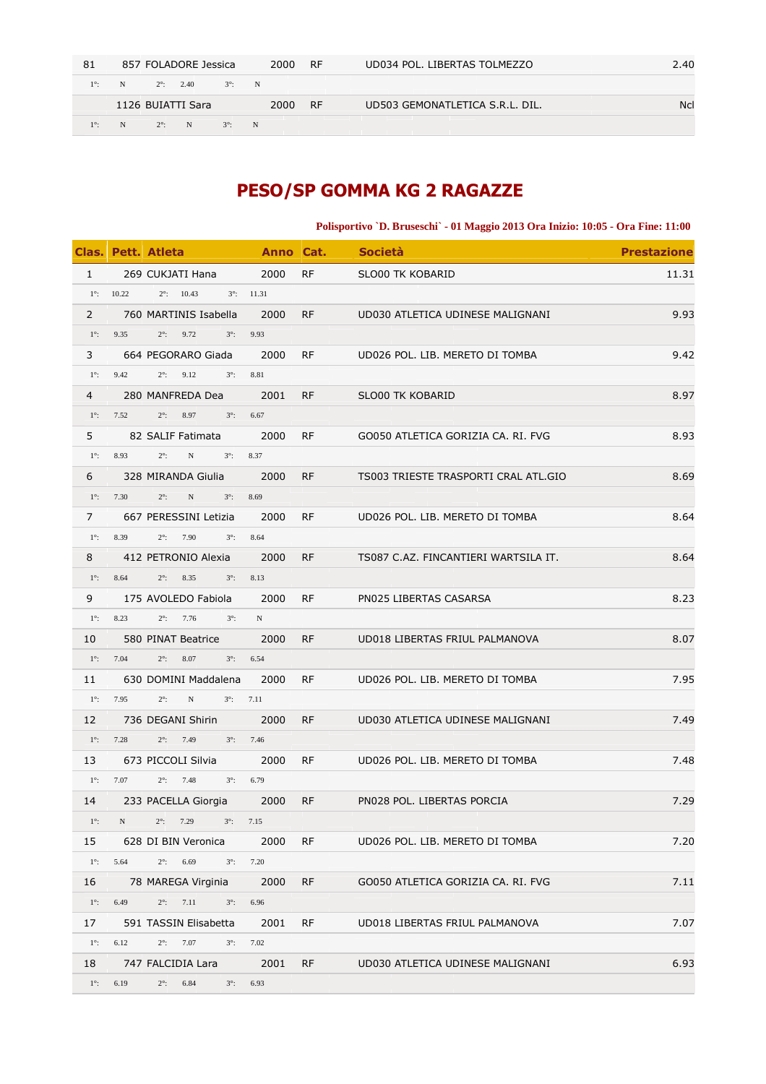| 81          |   |             | 857 FOLADORE Jessica |               |   | 2000 | RF.       | UD034 POL. LIBERTAS TOLMEZZO    | 2.40       |
|-------------|---|-------------|----------------------|---------------|---|------|-----------|---------------------------------|------------|
| $1^\circ$ : | N |             | $2^{\circ}$ : 2.40   | $3^\circ$ : N |   |      |           |                                 |            |
|             |   |             | 1126 BUIATTI Sara    |               |   | 2000 | <b>RF</b> | UD503 GEMONATLETICA S.R.L. DIL. | <b>Ncl</b> |
| $1^\circ$ : | N | $2^\circ$ : | N                    | $3^\circ$ :   | N |      |           |                                 |            |

# **PESO/SP GOMMA KG 2 RAGAZZE**

**Polisportivo `D. Bruseschi` - 01 Maggio 2013 Ora Inizio: 10:05 - Ora Fine: 11:00** 

|             |                     | Clas. Pett. Atleta                        |                     |           | <b>Example 21 Anno Cat. Società</b>  | <b>Prestazione</b> |
|-------------|---------------------|-------------------------------------------|---------------------|-----------|--------------------------------------|--------------------|
| 1           |                     | 269 CUKJATI Hana 2000                     |                     | <b>RF</b> | SLO00 TK KOBARID                     | 11.31              |
|             | $1^{\circ}$ : 10.22 | $2^{\circ}$ : 10.43                       | $3^{\circ}$ : 11.31 |           |                                      |                    |
| $2^{\circ}$ |                     | 760 MARTINIS Isabella                     | 2000                | <b>RF</b> | UD030 ATLETICA UDINESE MALIGNANI     | 9.93               |
| $1^\circ$ : |                     | 9.35 $2^{\circ}$ :<br>9.72<br>$3^\circ$ : | 9.93                |           |                                      |                    |
| 3           |                     | 664 PEGORARO Giada                        | 2000                | <b>RF</b> | UD026 POL. LIB. MERETO DI TOMBA      | 9.42               |
| $1^\circ$ : | 9.42                | $2^\circ$ :<br>9.12                       | $3^{\circ}$ : 8.81  |           |                                      |                    |
| $4 \quad$   |                     | 280 MANFREDA Dea 2001                     |                     | RF        | SLO00 TK KOBARID                     | 8.97               |
|             | $1^{\circ}$ : 7.52  | $2^\circ$ :<br>8.97<br>$3^{\circ}$ : 6.67 |                     |           |                                      |                    |
| 5           |                     | 82 SALIF Fatimata 2000                    |                     | RF        | GO050 ATLETICA GORIZIA CA. RI. FVG   | 8.93               |
| $1^\circ$ : | 8.93                | $2^{\circ}$ :<br>N                        | $3^{\circ}$ : 8.37  |           |                                      |                    |
| 6           |                     | 328 MIRANDA Giulia                        | 2000                | <b>RF</b> | TS003 TRIESTE TRASPORTI CRAL ATL.GIO | 8.69               |
| $1^\circ$ : | 7.30                | $2^\circ$ :<br>N<br>$3^\circ$ :           | 8.69                |           |                                      |                    |
| $7^{\circ}$ |                     | 667 PERESSINI Letizia                     | 2000                | RF        | UD026 POL. LIB. MERETO DI TOMBA      | 8.64               |
| $1^\circ$ : | 8.39                | $2^{\circ}$ : 7.90<br>$3^\circ$ :         | 8.64                |           |                                      |                    |
| 8           |                     | 412 PETRONIO Alexia 2000                  |                     | <b>RF</b> | TS087 C.AZ. FINCANTIERI WARTSILA IT. | 8.64               |
| $1^\circ$ : | 8.64                | $2^\circ$ :<br>8.35                       | $3^{\circ}$ : 8.13  |           |                                      |                    |
| 9           |                     | 175 AVOLEDO Fabiola                       | 2000                | RF        | PN025 LIBERTAS CASARSA               | 8.23               |
| $1^\circ$ : | 8.23                | $2^{\circ}$ : 7.76<br>$3^\circ$ :         | N                   |           |                                      |                    |
| 10          |                     | 580 PINAT Beatrice 2000                   |                     | RF.       | UD018 LIBERTAS FRIUL PALMANOVA       | 8.07               |
| $1^\circ$ : | 7.04                | $2^\circ$ :<br>8.07                       | $3^{\circ}$ : 6.54  |           |                                      |                    |
| 11          |                     | 630 DOMINI Maddalena                      | 2000                | <b>RF</b> | UD026 POL. LIB. MERETO DI TOMBA      | 7.95               |
| $1^\circ$ : | 7.95                | $2^\circ$ :<br>N                          | $3^{\circ}$ : 7.11  |           |                                      |                    |
| 12          |                     | 736 DEGANI Shirin                         | 2000                | <b>RF</b> | UD030 ATLETICA UDINESE MALIGNANI     | 7.49               |
|             | $1^{\circ}$ : 7.28  | $2^{\circ}$ : 7.49<br>$3^{\circ}$ : 7.46  |                     |           |                                      |                    |
| 13          |                     | 673 PICCOLI Silvia                        | 2000                | <b>RF</b> | UD026 POL. LIB. MERETO DI TOMBA      | 7.48               |
|             | $1^{\circ}$ : 7.07  | $2^{\circ}$ : 7.48                        | $3^{\circ}$ : 6.79  |           |                                      |                    |
| 14          |                     | 233 PACELLA Giorgia 2000                  |                     |           | RF PN028 POL. LIBERTAS PORCIA        | 7.29               |
| $1^\circ$ : | N                   | $2^\circ$ :<br>7.29<br>$3^\circ$ :        | 7.15                |           |                                      |                    |
| 15          |                     | 628 DI BIN Veronica                       | 2000                | <b>RF</b> | UD026 POL. LIB. MERETO DI TOMBA      | 7.20               |
| $1^\circ$ : | 5.64                | $2^\circ$ :<br>6.69<br>$3^\circ$ :        | 7.20                |           |                                      |                    |
| 16          |                     | 78 MAREGA Virginia                        | 2000                | <b>RF</b> | GO050 ATLETICA GORIZIA CA. RI. FVG   | 7.11               |
| $1^\circ$ : | 6.49                | $2^\circ$ :<br>7.11<br>$3^\circ$ :        | 6.96                |           |                                      |                    |
| 17          |                     | 591 TASSIN Elisabetta                     | 2001                | RF        | UD018 LIBERTAS FRIUL PALMANOVA       | 7.07               |
| $1^\circ$ : | 6.12                | $2^\circ$ :<br>7.07<br>$3^\circ$ :        | 7.02                |           |                                      |                    |
| 18          |                     | 747 FALCIDIA Lara                         | 2001                | RF.       | UD030 ATLETICA UDINESE MALIGNANI     | 6.93               |
| $1^\circ$ : | 6.19                | $2^\circ$ :<br>6.84<br>$3^\circ$ :        | 6.93                |           |                                      |                    |